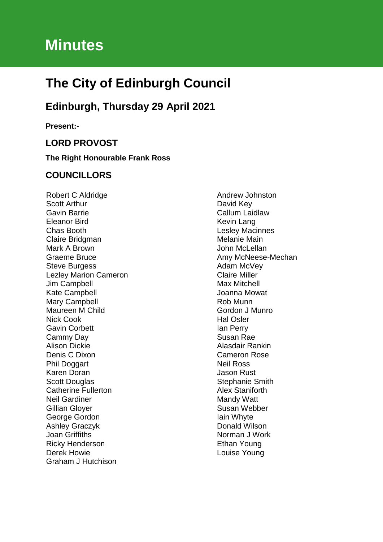# **Minutes**

# **The City of Edinburgh Council**

# **Edinburgh, Thursday 29 April 2021**

**Present:-**

### **LORD PROVOST**

**The Right Honourable Frank Ross**

## **COUNCILLORS**

Robert C Aldridge Scott Arthur Gavin Barrie Eleanor Bird Chas Booth Claire Bridgman Mark A Brown Graeme Bruce Steve Burgess Lezley Marion Cameron Jim Campbell Kate Campbell Mary Campbell Maureen M Child Nick Cook Gavin Corbett Cammy Day Alison Dickie Denis C Dixon Phil Doggart Karen Doran Scott Douglas Catherine Fullerton Neil Gardiner Gillian Gloyer George Gordon Ashley Graczyk Joan Griffiths Ricky Henderson Derek Howie Graham J Hutchison

Andrew Johnston David Key Callum Laidlaw Kevin Lang Lesley Macinnes Melanie Main John McLellan Amy McNeese-Mechan Adam McVey Claire Miller Max Mitchell Joanna Mowat Rob Munn Gordon J Munro Hal Osler Ian Perry Susan Rae Alasdair Rankin Cameron Rose Neil Ross Jason Rust Stephanie Smith Alex Staniforth Mandy Watt Susan Webber Iain Whyte Donald Wilson Norman J Work Ethan Young Louise Young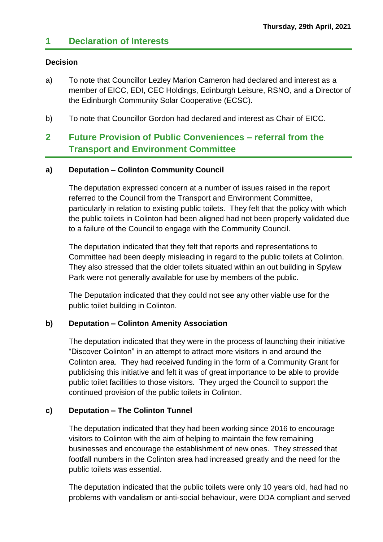# **1 Declaration of Interests**

### **Decision**

- a) To note that Councillor Lezley Marion Cameron had declared and interest as a member of EICC, EDI, CEC Holdings, Edinburgh Leisure, RSNO, and a Director of the Edinburgh Community Solar Cooperative (ECSC).
- b) To note that Councillor Gordon had declared and interest as Chair of EICC.

# **2 Future Provision of Public Conveniences – referral from the Transport and Environment Committee**

### **a) Deputation – Colinton Community Council**

The deputation expressed concern at a number of issues raised in the report referred to the Council from the Transport and Environment Committee, particularly in relation to existing public toilets. They felt that the policy with which the public toilets in Colinton had been aligned had not been properly validated due to a failure of the Council to engage with the Community Council.

The deputation indicated that they felt that reports and representations to Committee had been deeply misleading in regard to the public toilets at Colinton. They also stressed that the older toilets situated within an out building in Spylaw Park were not generally available for use by members of the public.

The Deputation indicated that they could not see any other viable use for the public toilet building in Colinton.

### **b) Deputation – Colinton Amenity Association**

The deputation indicated that they were in the process of launching their initiative "Discover Colinton" in an attempt to attract more visitors in and around the Colinton area. They had received funding in the form of a Community Grant for publicising this initiative and felt it was of great importance to be able to provide public toilet facilities to those visitors. They urged the Council to support the continued provision of the public toilets in Colinton.

### **c) Deputation – The Colinton Tunnel**

The deputation indicated that they had been working since 2016 to encourage visitors to Colinton with the aim of helping to maintain the few remaining businesses and encourage the establishment of new ones. They stressed that footfall numbers in the Colinton area had increased greatly and the need for the public toilets was essential.

The deputation indicated that the public toilets were only 10 years old, had had no problems with vandalism or anti-social behaviour, were DDA compliant and served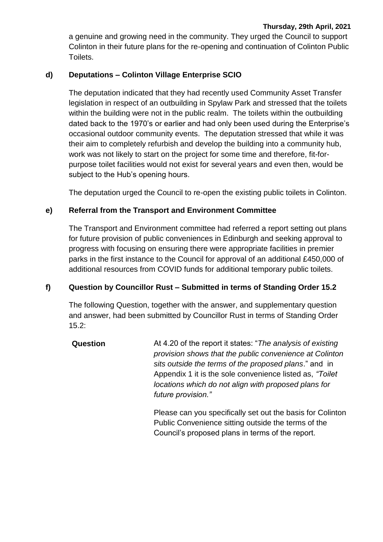a genuine and growing need in the community. They urged the Council to support Colinton in their future plans for the re-opening and continuation of Colinton Public Toilets.

### **d) Deputations – Colinton Village Enterprise SCIO**

The deputation indicated that they had recently used Community Asset Transfer legislation in respect of an outbuilding in Spylaw Park and stressed that the toilets within the building were not in the public realm. The toilets within the outbuilding dated back to the 1970's or earlier and had only been used during the Enterprise's occasional outdoor community events. The deputation stressed that while it was their aim to completely refurbish and develop the building into a community hub, work was not likely to start on the project for some time and therefore, fit-forpurpose toilet facilities would not exist for several years and even then, would be subject to the Hub's opening hours.

The deputation urged the Council to re-open the existing public toilets in Colinton.

#### **e) Referral from the Transport and Environment Committee**

The Transport and Environment committee had referred a report setting out plans for future provision of public conveniences in Edinburgh and seeking approval to progress with focusing on ensuring there were appropriate facilities in premier parks in the first instance to the Council for approval of an additional £450,000 of additional resources from COVID funds for additional temporary public toilets.

#### **f) Question by Councillor Rust – Submitted in terms of Standing Order 15.2**

The following Question, together with the answer, and supplementary question and answer, had been submitted by Councillor Rust in terms of Standing Order 15.2:

**Question** At 4.20 of the report it states: "*The analysis of existing provision shows that the public convenience at Colinton sits outside the terms of the proposed plans*." and in Appendix 1 it is the sole convenience listed as, *"Toilet locations which do not align with proposed plans for future provision."*

> Please can you specifically set out the basis for Colinton Public Convenience sitting outside the terms of the Council's proposed plans in terms of the report.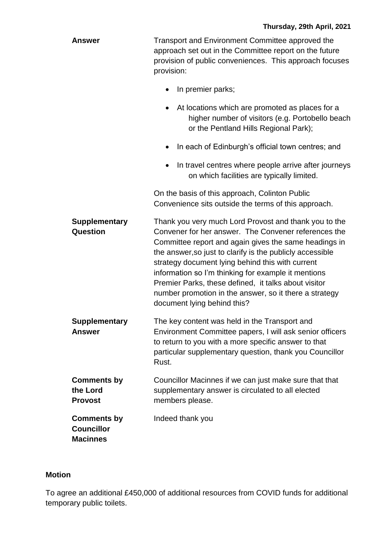| <b>Answer</b>                                              | Transport and Environment Committee approved the<br>approach set out in the Committee report on the future<br>provision of public conveniences. This approach focuses<br>provision:                                                                                                                                                                                                                                                                                                             |  |  |  |
|------------------------------------------------------------|-------------------------------------------------------------------------------------------------------------------------------------------------------------------------------------------------------------------------------------------------------------------------------------------------------------------------------------------------------------------------------------------------------------------------------------------------------------------------------------------------|--|--|--|
|                                                            | In premier parks;                                                                                                                                                                                                                                                                                                                                                                                                                                                                               |  |  |  |
|                                                            | At locations which are promoted as places for a<br>higher number of visitors (e.g. Portobello beach<br>or the Pentland Hills Regional Park);                                                                                                                                                                                                                                                                                                                                                    |  |  |  |
|                                                            | In each of Edinburgh's official town centres; and                                                                                                                                                                                                                                                                                                                                                                                                                                               |  |  |  |
|                                                            | In travel centres where people arrive after journeys<br>$\bullet$<br>on which facilities are typically limited.                                                                                                                                                                                                                                                                                                                                                                                 |  |  |  |
|                                                            | On the basis of this approach, Colinton Public<br>Convenience sits outside the terms of this approach.                                                                                                                                                                                                                                                                                                                                                                                          |  |  |  |
| <b>Supplementary</b><br>Question                           | Thank you very much Lord Provost and thank you to the<br>Convener for her answer. The Convener references the<br>Committee report and again gives the same headings in<br>the answer, so just to clarify is the publicly accessible<br>strategy document lying behind this with current<br>information so I'm thinking for example it mentions<br>Premier Parks, these defined, it talks about visitor<br>number promotion in the answer, so it there a strategy<br>document lying behind this? |  |  |  |
| <b>Supplementary</b><br><b>Answer</b>                      | The key content was held in the Transport and<br>Environment Committee papers, I will ask senior officers<br>to return to you with a more specific answer to that<br>particular supplementary question, thank you Councillor<br>Rust.                                                                                                                                                                                                                                                           |  |  |  |
| <b>Comments by</b><br>the Lord<br><b>Provost</b>           | Councillor Macinnes if we can just make sure that that<br>supplementary answer is circulated to all elected<br>members please.                                                                                                                                                                                                                                                                                                                                                                  |  |  |  |
| <b>Comments by</b><br><b>Councillor</b><br><b>Macinnes</b> | Indeed thank you                                                                                                                                                                                                                                                                                                                                                                                                                                                                                |  |  |  |

### **Motion**

To agree an additional £450,000 of additional resources from COVID funds for additional temporary public toilets.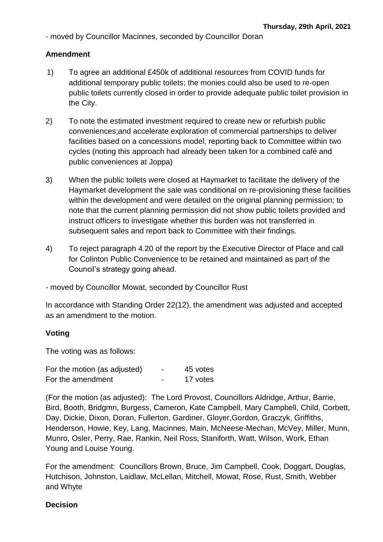- moved by Councillor Macinnes, seconded by Councillor Doran

### **Amendment**

- 1) To agree an additional £450k of additional resources from COVID funds for additional temporary public toilets; the monies could also be used to re-open public toilets currently closed in order to provide adequate public toilet provision in the City.
- 2) To note the estimated investment required to create new or refurbish public conveniences;and accelerate exploration of commercial partnerships to deliver facilities based on a concessions model, reporting back to Committee within two cycles (noting this approach had already been taken for a combined café and public conveniences at Joppa)
- 3) When the public toilets were closed at Haymarket to facilitate the delivery of the Haymarket development the sale was conditional on re-provisioning these facilities within the development and were detailed on the original planning permission; to note that the current planning permission did not show public toilets provided and instruct officers to investigate whether this burden was not transferred in subsequent sales and report back to Committee with their findings.
- 4) To reject paragraph 4.20 of the report by the Executive Director of Place and call for Colinton Public Convenience to be retained and maintained as part of the Council's strategy going ahead.

- moved by Councillor Mowat, seconded by Councillor Rust

In accordance with Standing Order 22(12), the amendment was adjusted and accepted as an amendment to the motion.

### **Voting**

The voting was as follows:

| For the motion (as adjusted) | $\overline{\phantom{0}}$ | 45 votes |
|------------------------------|--------------------------|----------|
| For the amendment            | -                        | 17 votes |

(For the motion (as adjusted): The Lord Provost, Councillors Aldridge, Arthur, Barrie, Bird, Booth, Bridgmn, Burgess, Cameron, Kate Campbell, Mary Campbell, Child, Corbett, Day, Dickie, Dixon, Doran, Fullerton, Gardiner, Gloyer,Gordon, Graczyk, Griffiths, Henderson, Howie, Key, Lang, Macinnes, Main, McNeese-Mechan, McVey, Miller, Munn, Munro, Osler, Perry, Rae, Rankin, Neil Ross, Staniforth, Watt, Wilson, Work, Ethan Young and Louise Young.

For the amendment: Councillors Brown, Bruce, Jim Campbell, Cook, Doggart, Douglas, Hutchison, Johnston, Laidlaw, McLellan, Mitchell, Mowat, Rose, Rust, Smith, Webber and Whyte

#### **Decision**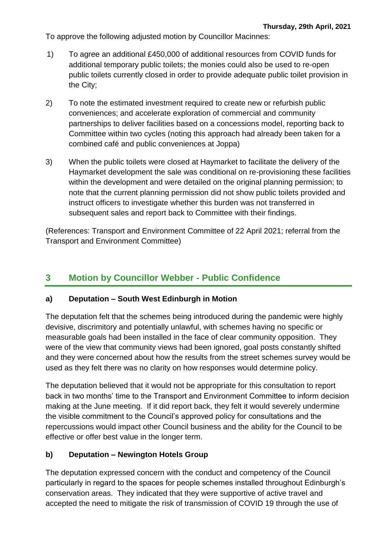To approve the following adjusted motion by Councillor Macinnes:

- 1) To agree an additional £450,000 of additional resources from COVID funds for additional temporary public toilets; the monies could also be used to re-open public toilets currently closed in order to provide adequate public toilet provision in the City;
- 2) To note the estimated investment required to create new or refurbish public conveniences; and accelerate exploration of commercial and community partnerships to deliver facilities based on a concessions model, reporting back to Committee within two cycles (noting this approach had already been taken for a combined café and public conveniences at Joppa)
- 3) When the public toilets were closed at Haymarket to facilitate the delivery of the Haymarket development the sale was conditional on re-provisioning these facilities within the development and were detailed on the original planning permission; to note that the current planning permission did not show public toilets provided and instruct officers to investigate whether this burden was not transferred in subsequent sales and report back to Committee with their findings.

(References: Transport and Environment Committee of 22 April 2021; referral from the Transport and Environment Committee)

# **3 Motion by Councillor Webber - Public Confidence**

### **a) Deputation – South West Edinburgh in Motion**

The deputation felt that the schemes being introduced during the pandemic were highly devisive, discrimitory and potentially unlawful, with schemes having no specific or measurable goals had been installed in the face of clear community opposition. They were of the view that community views had been ignored, goal posts constantly shifted and they were concerned about how the results from the street schemes survey would be used as they felt there was no clarity on how responses would determine policy.

The deputation believed that it would not be appropriate for this consultation to report back in two months' time to the Transport and Environment Committee to inform decision making at the June meeting. If it did report back, they felt it would severely undermine the visible commitment to the Council's approved policy for consultations and the repercussions would impact other Council business and the ability for the Council to be effective or offer best value in the longer term.

### **b) Deputation – Newington Hotels Group**

The deputation expressed concern with the conduct and competency of the Council particularly in regard to the spaces for people schemes installed throughout Edinburgh's conservation areas. They indicated that they were supportive of active travel and accepted the need to mitigate the risk of transmission of COVID 19 through the use of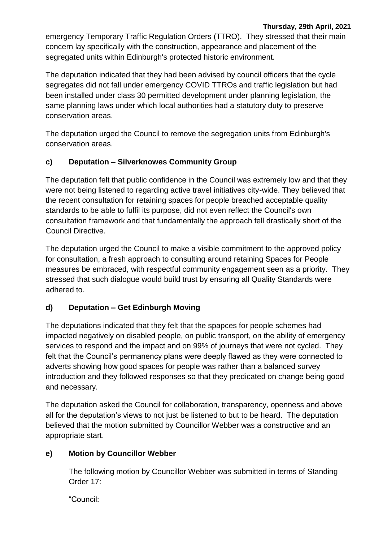emergency Temporary Traffic Regulation Orders (TTRO). They stressed that their main concern lay specifically with the construction, appearance and placement of the segregated units within Edinburgh's protected historic environment.

The deputation indicated that they had been advised by council officers that the cycle segregates did not fall under emergency COVID TTROs and traffic legislation but had been installed under class 30 permitted development under planning legislation, the same planning laws under which local authorities had a statutory duty to preserve conservation areas.

The deputation urged the Council to remove the segregation units from Edinburgh's conservation areas.

# **c) Deputation – Silverknowes Community Group**

The deputation felt that public confidence in the Council was extremely low and that they were not being listened to regarding active travel initiatives city-wide. They believed that the recent consultation for retaining spaces for people breached acceptable quality standards to be able to fulfil its purpose, did not even reflect the Council's own consultation framework and that fundamentally the approach fell drastically short of the Council Directive.

The deputation urged the Council to make a visible commitment to the approved policy for consultation, a fresh approach to consulting around retaining Spaces for People measures be embraced, with respectful community engagement seen as a priority. They stressed that such dialogue would build trust by ensuring all Quality Standards were adhered to.

# **d) Deputation – Get Edinburgh Moving**

The deputations indicated that they felt that the spapces for people schemes had impacted negatively on disabled people, on public transport, on the ability of emergency services to respond and the impact and on 99% of journeys that were not cycled. They felt that the Council's permanency plans were deeply flawed as they were connected to adverts showing how good spaces for people was rather than a balanced survey introduction and they followed responses so that they predicated on change being good and necessary.

The deputation asked the Council for collaboration, transparency, openness and above all for the deputation's views to not just be listened to but to be heard. The deputation believed that the motion submitted by Councillor Webber was a constructive and an appropriate start.

# **e) Motion by Councillor Webber**

The following motion by Councillor Webber was submitted in terms of Standing Order 17:

"Council: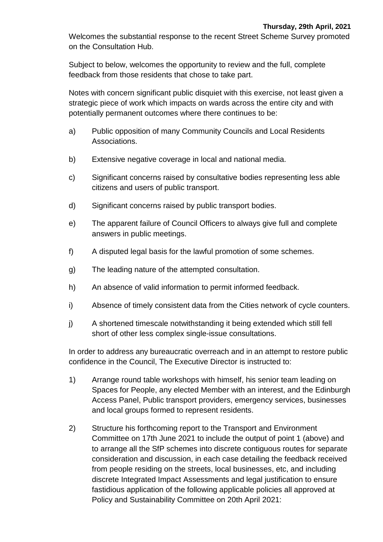Welcomes the substantial response to the recent Street Scheme Survey promoted on the Consultation Hub.

Subject to below, welcomes the opportunity to review and the full, complete feedback from those residents that chose to take part.

Notes with concern significant public disquiet with this exercise, not least given a strategic piece of work which impacts on wards across the entire city and with potentially permanent outcomes where there continues to be:

- a) Public opposition of many Community Councils and Local Residents Associations.
- b) Extensive negative coverage in local and national media.
- c) Significant concerns raised by consultative bodies representing less able citizens and users of public transport.
- d) Significant concerns raised by public transport bodies.
- e) The apparent failure of Council Officers to always give full and complete answers in public meetings.
- f) A disputed legal basis for the lawful promotion of some schemes.
- g) The leading nature of the attempted consultation.
- h) An absence of valid information to permit informed feedback.
- i) Absence of timely consistent data from the Cities network of cycle counters.
- j) A shortened timescale notwithstanding it being extended which still fell short of other less complex single-issue consultations.

In order to address any bureaucratic overreach and in an attempt to restore public confidence in the Council, The Executive Director is instructed to:

- 1) Arrange round table workshops with himself, his senior team leading on Spaces for People, any elected Member with an interest, and the Edinburgh Access Panel, Public transport providers, emergency services, businesses and local groups formed to represent residents.
- 2) Structure his forthcoming report to the Transport and Environment Committee on 17th June 2021 to include the output of point 1 (above) and to arrange all the SfP schemes into discrete contiguous routes for separate consideration and discussion, in each case detailing the feedback received from people residing on the streets, local businesses, etc, and including discrete Integrated Impact Assessments and legal justification to ensure fastidious application of the following applicable policies all approved at Policy and Sustainability Committee on 20th April 2021: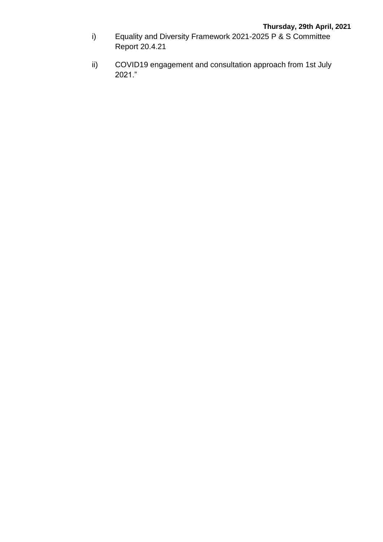- i) Equality and Diversity Framework 2021-2025 P & S Committee Report 20.4.21
- ii) COVID19 engagement and consultation approach from 1st July 2021."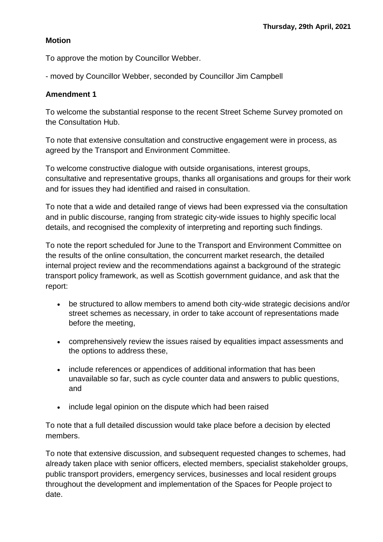### **Motion**

To approve the motion by Councillor Webber.

- moved by Councillor Webber, seconded by Councillor Jim Campbell

### **Amendment 1**

To welcome the substantial response to the recent Street Scheme Survey promoted on the Consultation Hub.

To note that extensive consultation and constructive engagement were in process, as agreed by the Transport and Environment Committee.

To welcome constructive dialogue with outside organisations, interest groups, consultative and representative groups, thanks all organisations and groups for their work and for issues they had identified and raised in consultation.

To note that a wide and detailed range of views had been expressed via the consultation and in public discourse, ranging from strategic city-wide issues to highly specific local details, and recognised the complexity of interpreting and reporting such findings.

To note the report scheduled for June to the Transport and Environment Committee on the results of the online consultation, the concurrent market research, the detailed internal project review and the recommendations against a background of the strategic transport policy framework, as well as Scottish government guidance, and ask that the report:

- be structured to allow members to amend both city-wide strategic decisions and/or street schemes as necessary, in order to take account of representations made before the meeting,
- comprehensively review the issues raised by equalities impact assessments and the options to address these,
- include references or appendices of additional information that has been unavailable so far, such as cycle counter data and answers to public questions, and
- include legal opinion on the dispute which had been raised

To note that a full detailed discussion would take place before a decision by elected members.

To note that extensive discussion, and subsequent requested changes to schemes, had already taken place with senior officers, elected members, specialist stakeholder groups, public transport providers, emergency services, businesses and local resident groups throughout the development and implementation of the Spaces for People project to date.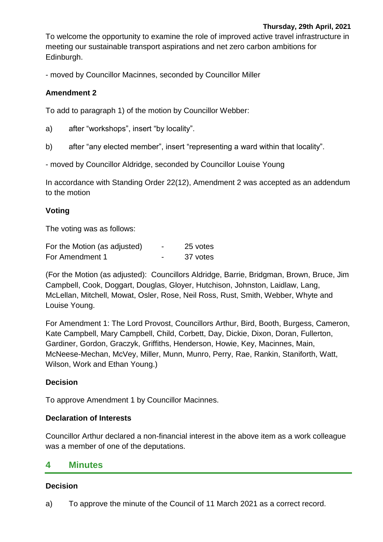To welcome the opportunity to examine the role of improved active travel infrastructure in meeting our sustainable transport aspirations and net zero carbon ambitions for Edinburgh.

- moved by Councillor Macinnes, seconded by Councillor Miller

### **Amendment 2**

To add to paragraph 1) of the motion by Councillor Webber:

a) after "workshops", insert "by locality".

b) after "any elected member", insert "representing a ward within that locality".

- moved by Councillor Aldridge, seconded by Councillor Louise Young

In accordance with Standing Order 22(12), Amendment 2 was accepted as an addendum to the motion

### **Voting**

The voting was as follows:

| For the Motion (as adjusted) | $\overline{\phantom{0}}$ | 25 votes |
|------------------------------|--------------------------|----------|
| For Amendment 1              | $\overline{\phantom{0}}$ | 37 votes |

(For the Motion (as adjusted): Councillors Aldridge, Barrie, Bridgman, Brown, Bruce, Jim Campbell, Cook, Doggart, Douglas, Gloyer, Hutchison, Johnston, Laidlaw, Lang, McLellan, Mitchell, Mowat, Osler, Rose, Neil Ross, Rust, Smith, Webber, Whyte and Louise Young.

For Amendment 1: The Lord Provost, Councillors Arthur, Bird, Booth, Burgess, Cameron, Kate Campbell, Mary Campbell, Child, Corbett, Day, Dickie, Dixon, Doran, Fullerton, Gardiner, Gordon, Graczyk, Griffiths, Henderson, Howie, Key, Macinnes, Main, McNeese-Mechan, McVey, Miller, Munn, Munro, Perry, Rae, Rankin, Staniforth, Watt, Wilson, Work and Ethan Young.)

#### **Decision**

To approve Amendment 1 by Councillor Macinnes.

#### **Declaration of Interests**

Councillor Arthur declared a non-financial interest in the above item as a work colleague was a member of one of the deputations.

### **4 Minutes**

#### **Decision**

a) To approve the minute of the Council of 11 March 2021 as a correct record.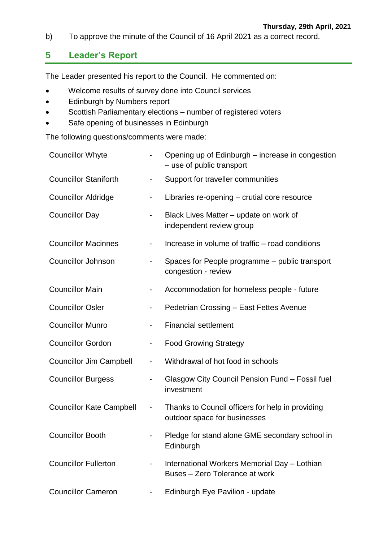b) To approve the minute of the Council of 16 April 2021 as a correct record.

# **5 Leader's Report**

The Leader presented his report to the Council. He commented on:

- Welcome results of survey done into Council services
- Edinburgh by Numbers report
- Scottish Parliamentary elections number of registered voters
- Safe opening of businesses in Edinburgh

The following questions/comments were made:

| <b>Councillor Whyte</b>         |   | Opening up of Edinburgh – increase in congestion<br>- use of public transport    |
|---------------------------------|---|----------------------------------------------------------------------------------|
| <b>Councillor Staniforth</b>    |   | Support for traveller communities                                                |
| <b>Councillor Aldridge</b>      |   | Libraries re-opening – crutial core resource                                     |
| <b>Councillor Day</b>           |   | Black Lives Matter - update on work of<br>independent review group               |
| <b>Councillor Macinnes</b>      | - | Increase in volume of traffic – road conditions                                  |
| <b>Councillor Johnson</b>       |   | Spaces for People programme – public transport<br>congestion - review            |
| <b>Councillor Main</b>          |   | Accommodation for homeless people - future                                       |
| <b>Councillor Osler</b>         |   | Pedetrian Crossing - East Fettes Avenue                                          |
| <b>Councillor Munro</b>         |   | <b>Financial settlement</b>                                                      |
| <b>Councillor Gordon</b>        | ۰ | <b>Food Growing Strategy</b>                                                     |
| <b>Councillor Jim Campbell</b>  | - | Withdrawal of hot food in schools                                                |
| <b>Councillor Burgess</b>       | - | Glasgow City Council Pension Fund - Fossil fuel<br>investment                    |
| <b>Councillor Kate Campbell</b> | - | Thanks to Council officers for help in providing<br>outdoor space for businesses |
| <b>Councillor Booth</b>         |   | Pledge for stand alone GME secondary school in<br>Edinburgh                      |
| <b>Councillor Fullerton</b>     |   | International Workers Memorial Day - Lothian<br>Buses - Zero Tolerance at work   |
| <b>Councillor Cameron</b>       |   | Edinburgh Eye Pavilion - update                                                  |
|                                 |   |                                                                                  |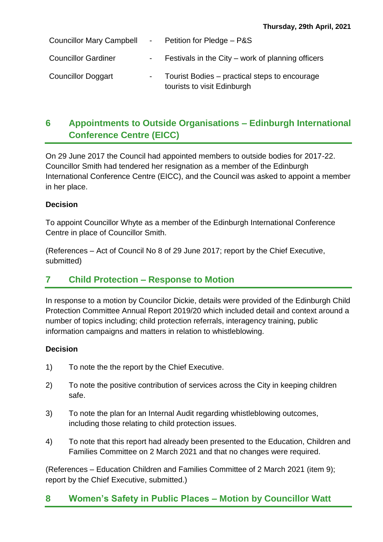| <b>Councillor Mary Campbell</b> | $\sim 100$ km s $^{-1}$ | Petition for Pledge - P&S                                                    |
|---------------------------------|-------------------------|------------------------------------------------------------------------------|
| <b>Councillor Gardiner</b>      | $\sim 100$ km s $^{-1}$ | Festivals in the City – work of planning officers                            |
| <b>Councillor Doggart</b>       | $\sim 100$              | Tourist Bodies – practical steps to encourage<br>tourists to visit Edinburgh |

# **6 Appointments to Outside Organisations – Edinburgh International Conference Centre (EICC)**

On 29 June 2017 the Council had appointed members to outside bodies for 2017-22. Councillor Smith had tendered her resignation as a member of the Edinburgh International Conference Centre (EICC), and the Council was asked to appoint a member in her place.

### **Decision**

To appoint Councillor Whyte as a member of the Edinburgh International Conference Centre in place of Councillor Smith.

(References – Act of Council No 8 of 29 June 2017; report by the Chief Executive, submitted)

# **7 Child Protection – Response to Motion**

In response to a motion by Councilor Dickie, details were provided of the Edinburgh Child Protection Committee Annual Report 2019/20 which included detail and context around a number of topics including; child protection referrals, interagency training, public information campaigns and matters in relation to whistleblowing.

## **Decision**

- 1) To note the the report by the Chief Executive.
- 2) To note the positive contribution of services across the City in keeping children safe.
- 3) To note the plan for an Internal Audit regarding whistleblowing outcomes, including those relating to child protection issues.
- 4) To note that this report had already been presented to the Education, Children and Families Committee on 2 March 2021 and that no changes were required.

(References – Education Children and Families Committee of 2 March 2021 (item 9); report by the Chief Executive, submitted.)

# **8 Women's Safety in Public Places – Motion by Councillor Watt**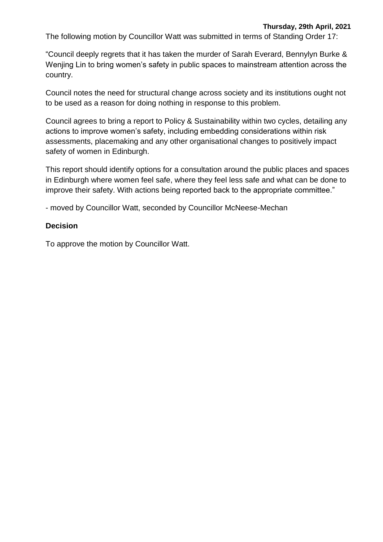#### **Thursday, 29th April, 2021**

The following motion by Councillor Watt was submitted in terms of Standing Order 17:

"Council deeply regrets that it has taken the murder of Sarah Everard, Bennylyn Burke & Wenjing Lin to bring women's safety in public spaces to mainstream attention across the country.

Council notes the need for structural change across society and its institutions ought not to be used as a reason for doing nothing in response to this problem.

Council agrees to bring a report to Policy & Sustainability within two cycles, detailing any actions to improve women's safety, including embedding considerations within risk assessments, placemaking and any other organisational changes to positively impact safety of women in Edinburgh.

This report should identify options for a consultation around the public places and spaces in Edinburgh where women feel safe, where they feel less safe and what can be done to improve their safety. With actions being reported back to the appropriate committee."

- moved by Councillor Watt, seconded by Councillor McNeese-Mechan

### **Decision**

To approve the motion by Councillor Watt.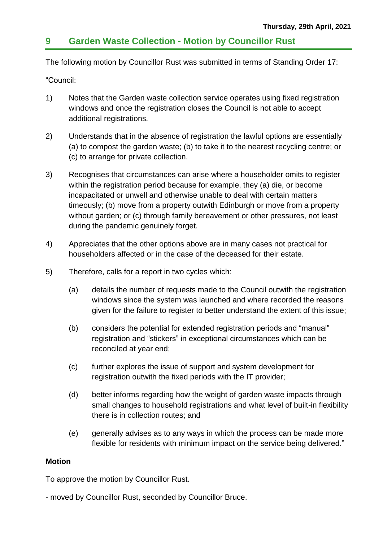# **9 Garden Waste Collection - Motion by Councillor Rust**

The following motion by Councillor Rust was submitted in terms of Standing Order 17:

"Council:

- 1) Notes that the Garden waste collection service operates using fixed registration windows and once the registration closes the Council is not able to accept additional registrations.
- 2) Understands that in the absence of registration the lawful options are essentially (a) to compost the garden waste; (b) to take it to the nearest recycling centre; or (c) to arrange for private collection.
- 3) Recognises that circumstances can arise where a householder omits to register within the registration period because for example, they (a) die, or become incapacitated or unwell and otherwise unable to deal with certain matters timeously; (b) move from a property outwith Edinburgh or move from a property without garden; or (c) through family bereavement or other pressures, not least during the pandemic genuinely forget.
- 4) Appreciates that the other options above are in many cases not practical for householders affected or in the case of the deceased for their estate.
- 5) Therefore, calls for a report in two cycles which:
	- (a) details the number of requests made to the Council outwith the registration windows since the system was launched and where recorded the reasons given for the failure to register to better understand the extent of this issue;
	- (b) considers the potential for extended registration periods and "manual" registration and "stickers" in exceptional circumstances which can be reconciled at year end;
	- (c) further explores the issue of support and system development for registration outwith the fixed periods with the IT provider;
	- (d) better informs regarding how the weight of garden waste impacts through small changes to household registrations and what level of built-in flexibility there is in collection routes; and
	- (e) generally advises as to any ways in which the process can be made more flexible for residents with minimum impact on the service being delivered."

#### **Motion**

To approve the motion by Councillor Rust.

- moved by Councillor Rust, seconded by Councillor Bruce.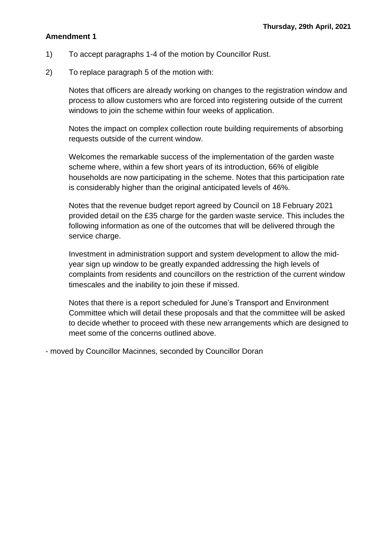### **Amendment 1**

- 1) To accept paragraphs 1-4 of the motion by Councillor Rust.
- 2) To replace paragraph 5 of the motion with:

Notes that officers are already working on changes to the registration window and process to allow customers who are forced into registering outside of the current windows to join the scheme within four weeks of application.

Notes the impact on complex collection route building requirements of absorbing requests outside of the current window.

Welcomes the remarkable success of the implementation of the garden waste scheme where, within a few short years of its introduction, 66% of eligible households are now participating in the scheme. Notes that this participation rate is considerably higher than the original anticipated levels of 46%.

Notes that the revenue budget report agreed by Council on 18 February 2021 provided detail on the £35 charge for the garden waste service. This includes the following information as one of the outcomes that will be delivered through the service charge.

Investment in administration support and system development to allow the midyear sign up window to be greatly expanded addressing the high levels of complaints from residents and councillors on the restriction of the current window timescales and the inability to join these if missed.

Notes that there is a report scheduled for June's Transport and Environment Committee which will detail these proposals and that the committee will be asked to decide whether to proceed with these new arrangements which are designed to meet some of the concerns outlined above.

- moved by Councillor Macinnes, seconded by Councillor Doran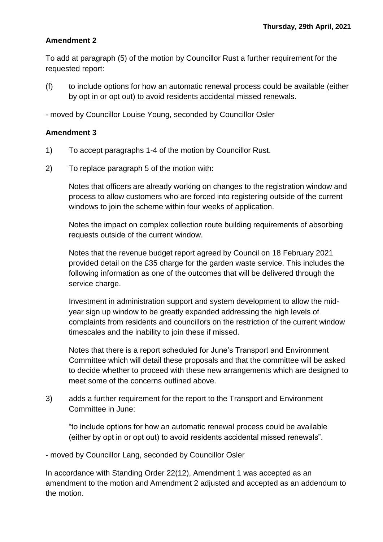### **Amendment 2**

To add at paragraph (5) of the motion by Councillor Rust a further requirement for the requested report:

(f) to include options for how an automatic renewal process could be available (either by opt in or opt out) to avoid residents accidental missed renewals.

- moved by Councillor Louise Young, seconded by Councillor Osler

### **Amendment 3**

- 1) To accept paragraphs 1-4 of the motion by Councillor Rust.
- 2) To replace paragraph 5 of the motion with:

Notes that officers are already working on changes to the registration window and process to allow customers who are forced into registering outside of the current windows to join the scheme within four weeks of application.

Notes the impact on complex collection route building requirements of absorbing requests outside of the current window.

Notes that the revenue budget report agreed by Council on 18 February 2021 provided detail on the £35 charge for the garden waste service. This includes the following information as one of the outcomes that will be delivered through the service charge.

Investment in administration support and system development to allow the midyear sign up window to be greatly expanded addressing the high levels of complaints from residents and councillors on the restriction of the current window timescales and the inability to join these if missed.

Notes that there is a report scheduled for June's Transport and Environment Committee which will detail these proposals and that the committee will be asked to decide whether to proceed with these new arrangements which are designed to meet some of the concerns outlined above.

3) adds a further requirement for the report to the Transport and Environment Committee in June:

"to include options for how an automatic renewal process could be available (either by opt in or opt out) to avoid residents accidental missed renewals".

- moved by Councillor Lang, seconded by Councillor Osler

In accordance with Standing Order 22(12), Amendment 1 was accepted as an amendment to the motion and Amendment 2 adjusted and accepted as an addendum to the motion.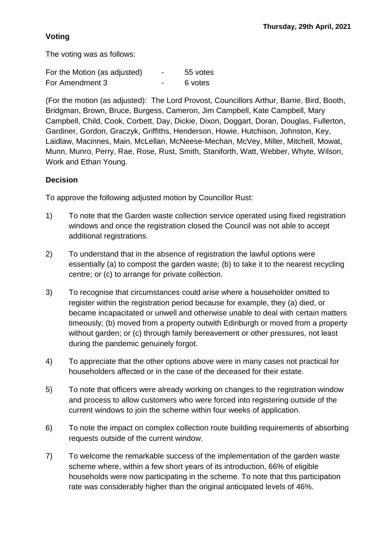## **Voting**

The voting was as follows:

| For the Motion (as adjusted) | $\overline{\phantom{0}}$ | 55 votes |
|------------------------------|--------------------------|----------|
| For Amendment 3              | $\overline{\phantom{0}}$ | 6 votes  |

(For the motion (as adjusted): The Lord Provost, Councillors Arthur, Barrie, Bird, Booth, Bridgman, Brown, Bruce, Burgess, Cameron, Jim Campbell, Kate Campbell, Mary Campbell, Child, Cook, Corbett, Day, Dickie, Dixon, Doggart, Doran, Douglas, Fullerton, Gardiner, Gordon, Graczyk, Griffiths, Henderson, Howie, Hutchison, Johnston, Key, Laidlaw, Macinnes, Main, McLellan, McNeese-Mechan, McVey, Miller, Mitchell, Mowat, Munn, Munro, Perry, Rae, Rose, Rust, Smith, Staniforth, Watt, Webber, Whyte, Wilson, Work and Ethan Young.

## **Decision**

To approve the following adjusted motion by Councillor Rust:

- 1) To note that the Garden waste collection service operated using fixed registration windows and once the registration closed the Council was not able to accept additional registrations.
- 2) To understand that in the absence of registration the lawful options were essentially (a) to compost the garden waste; (b) to take it to the nearest recycling centre; or (c) to arrange for private collection.
- 3) To recognise that circumstances could arise where a householder omitted to register within the registration period because for example, they (a) died, or became incapacitated or unwell and otherwise unable to deal with certain matters timeously; (b) moved from a property outwith Edinburgh or moved from a property without garden; or (c) through family bereavement or other pressures, not least during the pandemic genuinely forgot.
- 4) To appreciate that the other options above were in many cases not practical for householders affected or in the case of the deceased for their estate.
- 5) To note that officers were already working on changes to the registration window and process to allow customers who were forced into registering outside of the current windows to join the scheme within four weeks of application.
- 6) To note the impact on complex collection route building requirements of absorbing requests outside of the current window.
- 7) To welcome the remarkable success of the implementation of the garden waste scheme where, within a few short years of its introduction, 66% of eligible households were now participating in the scheme. To note that this participation rate was considerably higher than the original anticipated levels of 46%.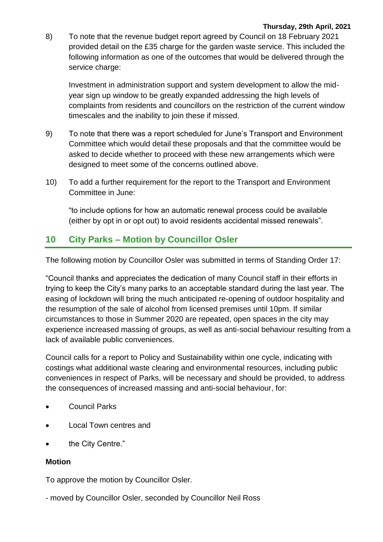8) To note that the revenue budget report agreed by Council on 18 February 2021 provided detail on the £35 charge for the garden waste service. This included the following information as one of the outcomes that would be delivered through the service charge:

Investment in administration support and system development to allow the midyear sign up window to be greatly expanded addressing the high levels of complaints from residents and councillors on the restriction of the current window timescales and the inability to join these if missed.

- 9) To note that there was a report scheduled for June's Transport and Environment Committee which would detail these proposals and that the committee would be asked to decide whether to proceed with these new arrangements which were designed to meet some of the concerns outlined above.
- 10) To add a further requirement for the report to the Transport and Environment Committee in June:

"to include options for how an automatic renewal process could be available (either by opt in or opt out) to avoid residents accidental missed renewals".

# **10 City Parks – Motion by Councillor Osler**

The following motion by Councillor Osler was submitted in terms of Standing Order 17:

"Council thanks and appreciates the dedication of many Council staff in their efforts in trying to keep the City's many parks to an acceptable standard during the last year. The easing of lockdown will bring the much anticipated re-opening of outdoor hospitality and the resumption of the sale of alcohol from licensed premises until 10pm. If similar circumstances to those in Summer 2020 are repeated, open spaces in the city may experience increased massing of groups, as well as anti-social behaviour resulting from a lack of available public conveniences.

Council calls for a report to Policy and Sustainability within one cycle, indicating with costings what additional waste clearing and environmental resources, including public conveniences in respect of Parks, will be necessary and should be provided, to address the consequences of increased massing and anti-social behaviour, for:

- Council Parks
- Local Town centres and
- the City Centre."

### **Motion**

To approve the motion by Councillor Osler.

- moved by Councillor Osler, seconded by Councillor Neil Ross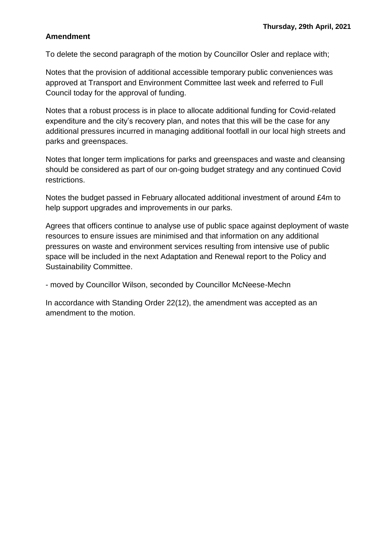### **Amendment**

To delete the second paragraph of the motion by Councillor Osler and replace with;

Notes that the provision of additional accessible temporary public conveniences was approved at Transport and Environment Committee last week and referred to Full Council today for the approval of funding.

Notes that a robust process is in place to allocate additional funding for Covid-related expenditure and the city's recovery plan, and notes that this will be the case for any additional pressures incurred in managing additional footfall in our local high streets and parks and greenspaces.

Notes that longer term implications for parks and greenspaces and waste and cleansing should be considered as part of our on-going budget strategy and any continued Covid restrictions.

Notes the budget passed in February allocated additional investment of around £4m to help support upgrades and improvements in our parks.

Agrees that officers continue to analyse use of public space against deployment of waste resources to ensure issues are minimised and that information on any additional pressures on waste and environment services resulting from intensive use of public space will be included in the next Adaptation and Renewal report to the Policy and Sustainability Committee.

- moved by Councillor Wilson, seconded by Councillor McNeese-Mechn

In accordance with Standing Order 22(12), the amendment was accepted as an amendment to the motion.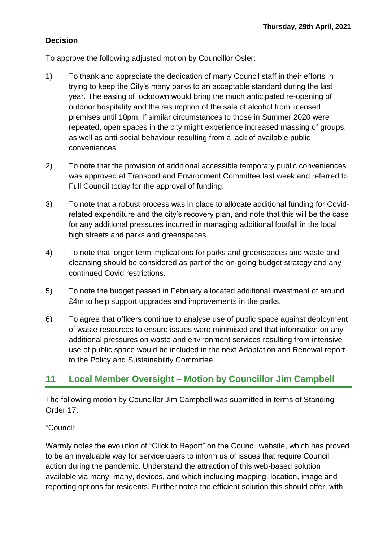### **Decision**

To approve the following adjusted motion by Councillor Osler:

- 1) To thank and appreciate the dedication of many Council staff in their efforts in trying to keep the City's many parks to an acceptable standard during the last year. The easing of lockdown would bring the much anticipated re-opening of outdoor hospitality and the resumption of the sale of alcohol from licensed premises until 10pm. If similar circumstances to those in Summer 2020 were repeated, open spaces in the city might experience increased massing of groups, as well as anti-social behaviour resulting from a lack of available public conveniences.
- 2) To note that the provision of additional accessible temporary public conveniences was approved at Transport and Environment Committee last week and referred to Full Council today for the approval of funding.
- 3) To note that a robust process was in place to allocate additional funding for Covidrelated expenditure and the city's recovery plan, and note that this will be the case for any additional pressures incurred in managing additional footfall in the local high streets and parks and greenspaces.
- 4) To note that longer term implications for parks and greenspaces and waste and cleansing should be considered as part of the on-going budget strategy and any continued Covid restrictions.
- 5) To note the budget passed in February allocated additional investment of around £4m to help support upgrades and improvements in the parks.
- 6) To agree that officers continue to analyse use of public space against deployment of waste resources to ensure issues were minimised and that information on any additional pressures on waste and environment services resulting from intensive use of public space would be included in the next Adaptation and Renewal report to the Policy and Sustainability Committee.

# **11 Local Member Oversight – Motion by Councillor Jim Campbell**

The following motion by Councillor Jim Campbell was submitted in terms of Standing Order 17:

### "Council:

Warmly notes the evolution of "Click to Report" on the Council website, which has proved to be an invaluable way for service users to inform us of issues that require Council action during the pandemic. Understand the attraction of this web-based solution available via many, many, devices, and which including mapping, location, image and reporting options for residents. Further notes the efficient solution this should offer, with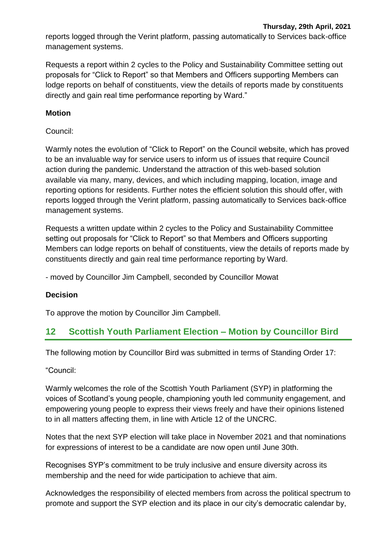reports logged through the Verint platform, passing automatically to Services back-office management systems.

Requests a report within 2 cycles to the Policy and Sustainability Committee setting out proposals for "Click to Report" so that Members and Officers supporting Members can lodge reports on behalf of constituents, view the details of reports made by constituents directly and gain real time performance reporting by Ward."

### **Motion**

### Council:

Warmly notes the evolution of "Click to Report" on the Council website, which has proved to be an invaluable way for service users to inform us of issues that require Council action during the pandemic. Understand the attraction of this web-based solution available via many, many, devices, and which including mapping, location, image and reporting options for residents. Further notes the efficient solution this should offer, with reports logged through the Verint platform, passing automatically to Services back-office management systems.

Requests a written update within 2 cycles to the Policy and Sustainability Committee setting out proposals for "Click to Report" so that Members and Officers supporting Members can lodge reports on behalf of constituents, view the details of reports made by constituents directly and gain real time performance reporting by Ward.

- moved by Councillor Jim Campbell, seconded by Councillor Mowat

### **Decision**

To approve the motion by Councillor Jim Campbell.

# **12 Scottish Youth Parliament Election – Motion by Councillor Bird**

The following motion by Councillor Bird was submitted in terms of Standing Order 17:

### "Council:

Warmly welcomes the role of the Scottish Youth Parliament (SYP) in platforming the voices of Scotland's young people, championing youth led community engagement, and empowering young people to express their views freely and have their opinions listened to in all matters affecting them, in line with Article 12 of the UNCRC.

Notes that the next SYP election will take place in November 2021 and that nominations for expressions of interest to be a candidate are now open until June 30th.

Recognises SYP's commitment to be truly inclusive and ensure diversity across its membership and the need for wide participation to achieve that aim.

Acknowledges the responsibility of elected members from across the political spectrum to promote and support the SYP election and its place in our city's democratic calendar by,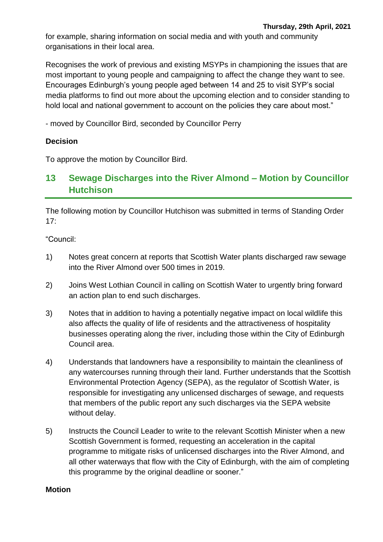for example, sharing information on social media and with youth and community organisations in their local area.

Recognises the work of previous and existing MSYPs in championing the issues that are most important to young people and campaigning to affect the change they want to see. Encourages Edinburgh's young people aged between 14 and 25 to visit SYP's social media platforms to find out more about the upcoming election and to consider standing to hold local and national government to account on the policies they care about most."

- moved by Councillor Bird, seconded by Councillor Perry

### **Decision**

To approve the motion by Councillor Bird.

# **13 Sewage Discharges into the River Almond – Motion by Councillor Hutchison**

The following motion by Councillor Hutchison was submitted in terms of Standing Order 17:

"Council:

- 1) Notes great concern at reports that Scottish Water plants discharged raw sewage into the River Almond over 500 times in 2019.
- 2) Joins West Lothian Council in calling on Scottish Water to urgently bring forward an action plan to end such discharges.
- 3) Notes that in addition to having a potentially negative impact on local wildlife this also affects the quality of life of residents and the attractiveness of hospitality businesses operating along the river, including those within the City of Edinburgh Council area.
- 4) Understands that landowners have a responsibility to maintain the cleanliness of any watercourses running through their land. Further understands that the Scottish Environmental Protection Agency (SEPA), as the regulator of Scottish Water, is responsible for investigating any unlicensed discharges of sewage, and requests that members of the public report any such discharges via the SEPA website without delay.
- 5) Instructs the Council Leader to write to the relevant Scottish Minister when a new Scottish Government is formed, requesting an acceleration in the capital programme to mitigate risks of unlicensed discharges into the River Almond, and all other waterways that flow with the City of Edinburgh, with the aim of completing this programme by the original deadline or sooner."

### **Motion**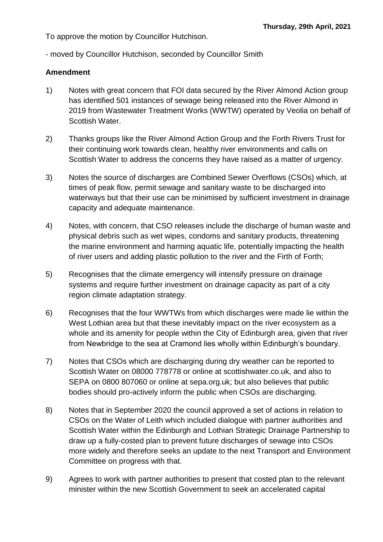To approve the motion by Councillor Hutchison.

- moved by Councillor Hutchison, seconded by Councillor Smith

### **Amendment**

- 1) Notes with great concern that FOI data secured by the River Almond Action group has identified 501 instances of sewage being released into the River Almond in 2019 from Wastewater Treatment Works (WWTW) operated by Veolia on behalf of Scottish Water.
- 2) Thanks groups like the River Almond Action Group and the Forth Rivers Trust for their continuing work towards clean, healthy river environments and calls on Scottish Water to address the concerns they have raised as a matter of urgency.
- 3) Notes the source of discharges are Combined Sewer Overflows (CSOs) which, at times of peak flow, permit sewage and sanitary waste to be discharged into waterways but that their use can be minimised by sufficient investment in drainage capacity and adequate maintenance.
- 4) Notes, with concern, that CSO releases include the discharge of human waste and physical debris such as wet wipes, condoms and sanitary products, threatening the marine environment and harming aquatic life, potentially impacting the health of river users and adding plastic pollution to the river and the Firth of Forth;
- 5) Recognises that the climate emergency will intensify pressure on drainage systems and require further investment on drainage capacity as part of a city region climate adaptation strategy.
- 6) Recognises that the four WWTWs from which discharges were made lie within the West Lothian area but that these inevitably impact on the river ecosystem as a whole and its amenity for people within the City of Edinburgh area, given that river from Newbridge to the sea at Cramond lies wholly within Edinburgh's boundary.
- 7) Notes that CSOs which are discharging during dry weather can be reported to Scottish Water on 08000 778778 or online at scottishwater.co.uk, and also to SEPA on 0800 807060 or online at sepa.org.uk; but also believes that public bodies should pro-actively inform the public when CSOs are discharging.
- 8) Notes that in September 2020 the council approved a set of actions in relation to CSOs on the Water of Leith which included dialogue with partner authorities and Scottish Water within the Edinburgh and Lothian Strategic Drainage Partnership to draw up a fully-costed plan to prevent future discharges of sewage into CSOs more widely and therefore seeks an update to the next Transport and Environment Committee on progress with that.
- 9) Agrees to work with partner authorities to present that costed plan to the relevant minister within the new Scottish Government to seek an accelerated capital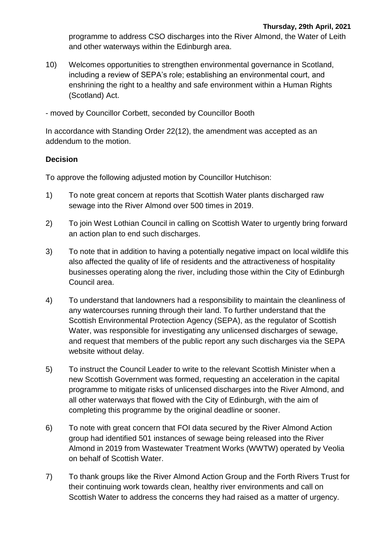programme to address CSO discharges into the River Almond, the Water of Leith and other waterways within the Edinburgh area.

- 10) Welcomes opportunities to strengthen environmental governance in Scotland, including a review of SEPA's role; establishing an environmental court, and enshrining the right to a healthy and safe environment within a Human Rights (Scotland) Act.
- moved by Councillor Corbett, seconded by Councillor Booth

In accordance with Standing Order 22(12), the amendment was accepted as an addendum to the motion.

### **Decision**

To approve the following adjusted motion by Councillor Hutchison:

- 1) To note great concern at reports that Scottish Water plants discharged raw sewage into the River Almond over 500 times in 2019.
- 2) To join West Lothian Council in calling on Scottish Water to urgently bring forward an action plan to end such discharges.
- 3) To note that in addition to having a potentially negative impact on local wildlife this also affected the quality of life of residents and the attractiveness of hospitality businesses operating along the river, including those within the City of Edinburgh Council area.
- 4) To understand that landowners had a responsibility to maintain the cleanliness of any watercourses running through their land. To further understand that the Scottish Environmental Protection Agency (SEPA), as the regulator of Scottish Water, was responsible for investigating any unlicensed discharges of sewage, and request that members of the public report any such discharges via the SEPA website without delay.
- 5) To instruct the Council Leader to write to the relevant Scottish Minister when a new Scottish Government was formed, requesting an acceleration in the capital programme to mitigate risks of unlicensed discharges into the River Almond, and all other waterways that flowed with the City of Edinburgh, with the aim of completing this programme by the original deadline or sooner.
- 6) To note with great concern that FOI data secured by the River Almond Action group had identified 501 instances of sewage being released into the River Almond in 2019 from Wastewater Treatment Works (WWTW) operated by Veolia on behalf of Scottish Water.
- 7) To thank groups like the River Almond Action Group and the Forth Rivers Trust for their continuing work towards clean, healthy river environments and call on Scottish Water to address the concerns they had raised as a matter of urgency.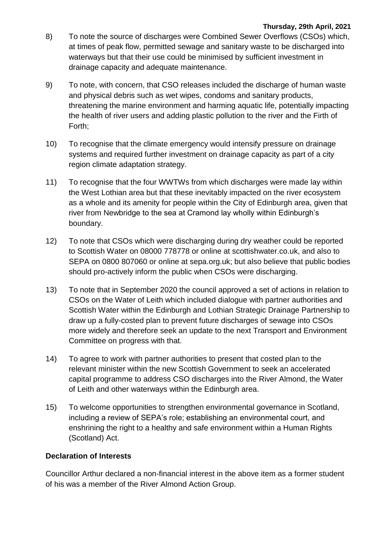- 8) To note the source of discharges were Combined Sewer Overflows (CSOs) which, at times of peak flow, permitted sewage and sanitary waste to be discharged into waterways but that their use could be minimised by sufficient investment in drainage capacity and adequate maintenance.
- 9) To note, with concern, that CSO releases included the discharge of human waste and physical debris such as wet wipes, condoms and sanitary products, threatening the marine environment and harming aquatic life, potentially impacting the health of river users and adding plastic pollution to the river and the Firth of Forth;
- 10) To recognise that the climate emergency would intensify pressure on drainage systems and required further investment on drainage capacity as part of a city region climate adaptation strategy.
- 11) To recognise that the four WWTWs from which discharges were made lay within the West Lothian area but that these inevitably impacted on the river ecosystem as a whole and its amenity for people within the City of Edinburgh area, given that river from Newbridge to the sea at Cramond lay wholly within Edinburgh's boundary.
- 12) To note that CSOs which were discharging during dry weather could be reported to Scottish Water on 08000 778778 or online at scottishwater.co.uk, and also to SEPA on 0800 807060 or online at sepa.org.uk; but also believe that public bodies should pro-actively inform the public when CSOs were discharging.
- 13) To note that in September 2020 the council approved a set of actions in relation to CSOs on the Water of Leith which included dialogue with partner authorities and Scottish Water within the Edinburgh and Lothian Strategic Drainage Partnership to draw up a fully-costed plan to prevent future discharges of sewage into CSOs more widely and therefore seek an update to the next Transport and Environment Committee on progress with that.
- 14) To agree to work with partner authorities to present that costed plan to the relevant minister within the new Scottish Government to seek an accelerated capital programme to address CSO discharges into the River Almond, the Water of Leith and other waterways within the Edinburgh area.
- 15) To welcome opportunities to strengthen environmental governance in Scotland, including a review of SEPA's role; establishing an environmental court, and enshrining the right to a healthy and safe environment within a Human Rights (Scotland) Act.

### **Declaration of Interests**

Councillor Arthur declared a non-financial interest in the above item as a former student of his was a member of the River Almond Action Group.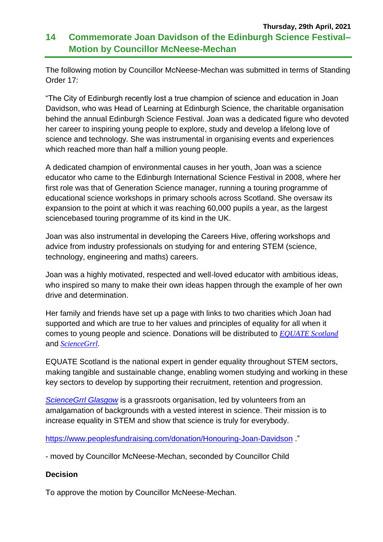The following motion by Councillor McNeese-Mechan was submitted in terms of Standing Order 17:

"The City of Edinburgh recently lost a true champion of science and education in Joan Davidson, who was Head of Learning at Edinburgh Science, the charitable organisation behind the annual Edinburgh Science Festival. Joan was a dedicated figure who devoted her career to inspiring young people to explore, study and develop a lifelong love of science and technology. She was instrumental in organising events and experiences which reached more than half a million young people.

A dedicated champion of environmental causes in her youth, Joan was a science educator who came to the Edinburgh International Science Festival in 2008, where her first role was that of Generation Science manager, running a touring programme of educational science workshops in primary schools across Scotland. She oversaw its expansion to the point at which it was reaching 60,000 pupils a year, as the largest sciencebased touring programme of its kind in the UK.

Joan was also instrumental in developing the Careers Hive, offering workshops and advice from industry professionals on studying for and entering STEM (science, technology, engineering and maths) careers.

Joan was a highly motivated, respected and well-loved educator with ambitious ideas, who inspired so many to make their own ideas happen through the example of her own drive and determination.

Her family and friends have set up a page with links to two charities which Joan had supported and which are true to her values and principles of equality for all when it comes to young people and science. Donations will be distributed to *[EQUATE Scotland](https://equatescotland.org.uk/)* and *[ScienceGrrl](https://sciencegrrl.co.uk/)*.

EQUATE Scotland is the national expert in gender equality throughout STEM sectors, making tangible and sustainable change, enabling women studying and working in these key sectors to develop by supporting their recruitment, retention and progression.

*[ScienceGrrl Glasgow](https://sciencegrrlglasgow.com/)* is a grassroots organisation, led by volunteers from an amalgamation of backgrounds with a vested interest in science. Their mission is to increase equality in STEM and show that science is truly for everybody.

<https://www.peoplesfundraising.com/donation/Honouring-Joan-Davidson> ."

- moved by Councillor McNeese-Mechan, seconded by Councillor Child

## **Decision**

To approve the motion by Councillor McNeese-Mechan.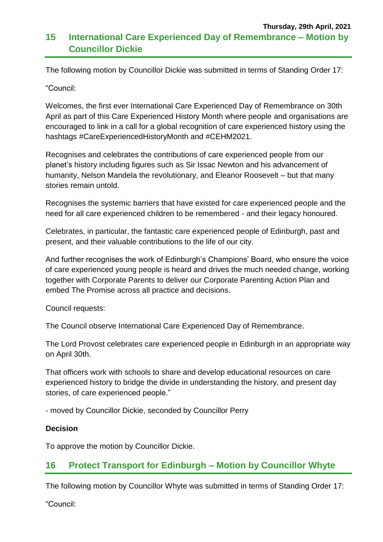### **Thursday, 29th April, 2021 15 International Care Experienced Day of Remembrance – Motion by Councillor Dickie**

The following motion by Councillor Dickie was submitted in terms of Standing Order 17:

"Council:

Welcomes, the first ever International Care Experienced Day of Remembrance on 30th April as part of this Care Experienced History Month where people and organisations are encouraged to link in a call for a global recognition of care experienced history using the hashtags #CareExperiencedHistoryMonth and #CEHM2021.

Recognises and celebrates the contributions of care experienced people from our planet's history including figures such as Sir Issac Newton and his advancement of humanity, Nelson Mandela the revolutionary, and Eleanor Roosevelt – but that many stories remain untold.

Recognises the systemic barriers that have existed for care experienced people and the need for all care experienced children to be remembered - and their legacy honoured.

Celebrates, in particular, the fantastic care experienced people of Edinburgh, past and present, and their valuable contributions to the life of our city.

And further recognises the work of Edinburgh's Champions' Board, who ensure the voice of care experienced young people is heard and drives the much needed change, working together with Corporate Parents to deliver our Corporate Parenting Action Plan and embed The Promise across all practice and decisions.

Council requests:

The Council observe International Care Experienced Day of Remembrance.

The Lord Provost celebrates care experienced people in Edinburgh in an appropriate way on April 30th.

That officers work with schools to share and develop educational resources on care experienced history to bridge the divide in understanding the history, and present day stories, of care experienced people."

- moved by Councillor Dickie, seconded by Councillor Perry

### **Decision**

To approve the motion by Councillor Dickie.

# **16 Protect Transport for Edinburgh – Motion by Councillor Whyte**

The following motion by Councillor Whyte was submitted in terms of Standing Order 17:

"Council: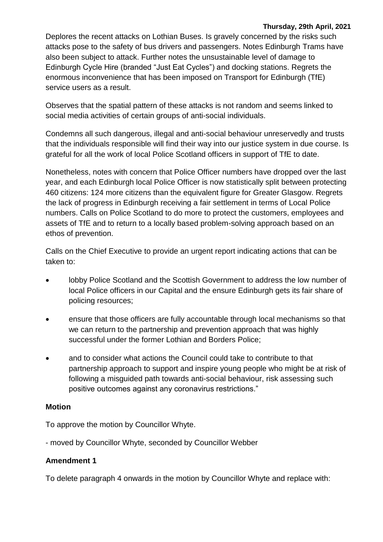### **Thursday, 29th April, 2021**

Deplores the recent attacks on Lothian Buses. Is gravely concerned by the risks such attacks pose to the safety of bus drivers and passengers. Notes Edinburgh Trams have also been subject to attack. Further notes the unsustainable level of damage to Edinburgh Cycle Hire (branded "Just Eat Cycles") and docking stations. Regrets the enormous inconvenience that has been imposed on Transport for Edinburgh (TfE) service users as a result.

Observes that the spatial pattern of these attacks is not random and seems linked to social media activities of certain groups of anti-social individuals.

Condemns all such dangerous, illegal and anti-social behaviour unreservedly and trusts that the individuals responsible will find their way into our justice system in due course. Is grateful for all the work of local Police Scotland officers in support of TfE to date.

Nonetheless, notes with concern that Police Officer numbers have dropped over the last year, and each Edinburgh local Police Officer is now statistically split between protecting 460 citizens: 124 more citizens than the equivalent figure for Greater Glasgow. Regrets the lack of progress in Edinburgh receiving a fair settlement in terms of Local Police numbers. Calls on Police Scotland to do more to protect the customers, employees and assets of TfE and to return to a locally based problem-solving approach based on an ethos of prevention.

Calls on the Chief Executive to provide an urgent report indicating actions that can be taken to:

- lobby Police Scotland and the Scottish Government to address the low number of local Police officers in our Capital and the ensure Edinburgh gets its fair share of policing resources;
- ensure that those officers are fully accountable through local mechanisms so that we can return to the partnership and prevention approach that was highly successful under the former Lothian and Borders Police;
- and to consider what actions the Council could take to contribute to that partnership approach to support and inspire young people who might be at risk of following a misguided path towards anti-social behaviour, risk assessing such positive outcomes against any coronavirus restrictions."

### **Motion**

To approve the motion by Councillor Whyte.

- moved by Councillor Whyte, seconded by Councillor Webber

## **Amendment 1**

To delete paragraph 4 onwards in the motion by Councillor Whyte and replace with: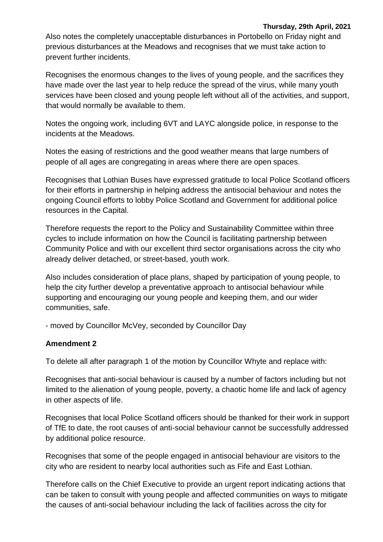Also notes the completely unacceptable disturbances in Portobello on Friday night and previous disturbances at the Meadows and recognises that we must take action to prevent further incidents.

Recognises the enormous changes to the lives of young people, and the sacrifices they have made over the last year to help reduce the spread of the virus, while many youth services have been closed and young people left without all of the activities, and support, that would normally be available to them.

Notes the ongoing work, including 6VT and LAYC alongside police, in response to the incidents at the Meadows.

Notes the easing of restrictions and the good weather means that large numbers of people of all ages are congregating in areas where there are open spaces.

Recognises that Lothian Buses have expressed gratitude to local Police Scotland officers for their efforts in partnership in helping address the antisocial behaviour and notes the ongoing Council efforts to lobby Police Scotland and Government for additional police resources in the Capital.

Therefore requests the report to the Policy and Sustainability Committee within three cycles to include information on how the Council is facilitating partnership between Community Police and with our excellent third sector organisations across the city who already deliver detached, or street-based, youth work.

Also includes consideration of place plans, shaped by participation of young people, to help the city further develop a preventative approach to antisocial behaviour while supporting and encouraging our young people and keeping them, and our wider communities, safe.

- moved by Councillor McVey, seconded by Councillor Day

## **Amendment 2**

To delete all after paragraph 1 of the motion by Councillor Whyte and replace with:

Recognises that anti-social behaviour is caused by a number of factors including but not limited to the alienation of young people, poverty, a chaotic home life and lack of agency in other aspects of life.

Recognises that local Police Scotland officers should be thanked for their work in support of TfE to date, the root causes of anti-social behaviour cannot be successfully addressed by additional police resource.

Recognises that some of the people engaged in antisocial behaviour are visitors to the city who are resident to nearby local authorities such as Fife and East Lothian.

Therefore calls on the Chief Executive to provide an urgent report indicating actions that can be taken to consult with young people and affected communities on ways to mitigate the causes of anti-social behaviour including the lack of facilities across the city for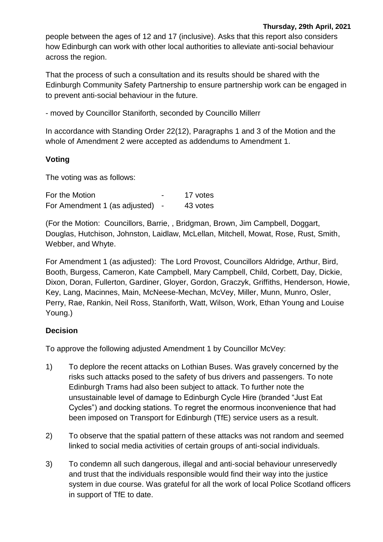people between the ages of 12 and 17 (inclusive). Asks that this report also considers how Edinburgh can work with other local authorities to alleviate anti-social behaviour across the region.

That the process of such a consultation and its results should be shared with the Edinburgh Community Safety Partnership to ensure partnership work can be engaged in to prevent anti-social behaviour in the future.

- moved by Councillor Staniforth, seconded by Councillo Millerr

In accordance with Standing Order 22(12), Paragraphs 1 and 3 of the Motion and the whole of Amendment 2 were accepted as addendums to Amendment 1.

## **Voting**

The voting was as follows:

| For the Motion                | $\overline{\phantom{0}}$ | 17 votes |
|-------------------------------|--------------------------|----------|
| For Amendment 1 (as adjusted) |                          | 43 votes |

(For the Motion: Councillors, Barrie, , Bridgman, Brown, Jim Campbell, Doggart, Douglas, Hutchison, Johnston, Laidlaw, McLellan, Mitchell, Mowat, Rose, Rust, Smith, Webber, and Whyte.

For Amendment 1 (as adjusted): The Lord Provost, Councillors Aldridge, Arthur, Bird, Booth, Burgess, Cameron, Kate Campbell, Mary Campbell, Child, Corbett, Day, Dickie, Dixon, Doran, Fullerton, Gardiner, Gloyer, Gordon, Graczyk, Griffiths, Henderson, Howie, Key, Lang, Macinnes, Main, McNeese-Mechan, McVey, Miller, Munn, Munro, Osler, Perry, Rae, Rankin, Neil Ross, Staniforth, Watt, Wilson, Work, Ethan Young and Louise Young.)

## **Decision**

To approve the following adjusted Amendment 1 by Councillor McVey:

- 1) To deplore the recent attacks on Lothian Buses. Was gravely concerned by the risks such attacks posed to the safety of bus drivers and passengers. To note Edinburgh Trams had also been subject to attack. To further note the unsustainable level of damage to Edinburgh Cycle Hire (branded "Just Eat Cycles") and docking stations. To regret the enormous inconvenience that had been imposed on Transport for Edinburgh (TfE) service users as a result.
- 2) To observe that the spatial pattern of these attacks was not random and seemed linked to social media activities of certain groups of anti-social individuals.
- 3) To condemn all such dangerous, illegal and anti-social behaviour unreservedly and trust that the individuals responsible would find their way into the justice system in due course. Was grateful for all the work of local Police Scotland officers in support of TfE to date.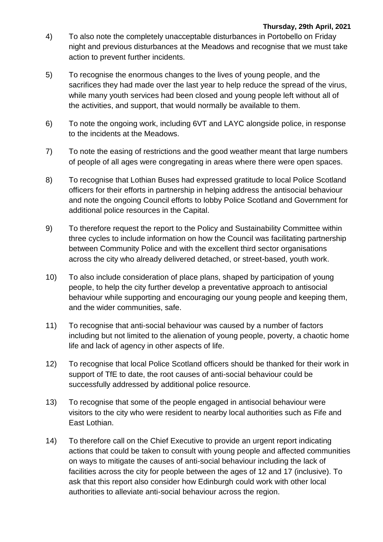- 4) To also note the completely unacceptable disturbances in Portobello on Friday night and previous disturbances at the Meadows and recognise that we must take action to prevent further incidents.
- 5) To recognise the enormous changes to the lives of young people, and the sacrifices they had made over the last year to help reduce the spread of the virus, while many youth services had been closed and young people left without all of the activities, and support, that would normally be available to them.
- 6) To note the ongoing work, including 6VT and LAYC alongside police, in response to the incidents at the Meadows.
- 7) To note the easing of restrictions and the good weather meant that large numbers of people of all ages were congregating in areas where there were open spaces.
- 8) To recognise that Lothian Buses had expressed gratitude to local Police Scotland officers for their efforts in partnership in helping address the antisocial behaviour and note the ongoing Council efforts to lobby Police Scotland and Government for additional police resources in the Capital.
- 9) To therefore request the report to the Policy and Sustainability Committee within three cycles to include information on how the Council was facilitating partnership between Community Police and with the excellent third sector organisations across the city who already delivered detached, or street-based, youth work.
- 10) To also include consideration of place plans, shaped by participation of young people, to help the city further develop a preventative approach to antisocial behaviour while supporting and encouraging our young people and keeping them, and the wider communities, safe.
- 11) To recognise that anti-social behaviour was caused by a number of factors including but not limited to the alienation of young people, poverty, a chaotic home life and lack of agency in other aspects of life.
- 12) To recognise that local Police Scotland officers should be thanked for their work in support of TfE to date, the root causes of anti-social behaviour could be successfully addressed by additional police resource.
- 13) To recognise that some of the people engaged in antisocial behaviour were visitors to the city who were resident to nearby local authorities such as Fife and East Lothian.
- 14) To therefore call on the Chief Executive to provide an urgent report indicating actions that could be taken to consult with young people and affected communities on ways to mitigate the causes of anti-social behaviour including the lack of facilities across the city for people between the ages of 12 and 17 (inclusive). To ask that this report also consider how Edinburgh could work with other local authorities to alleviate anti-social behaviour across the region.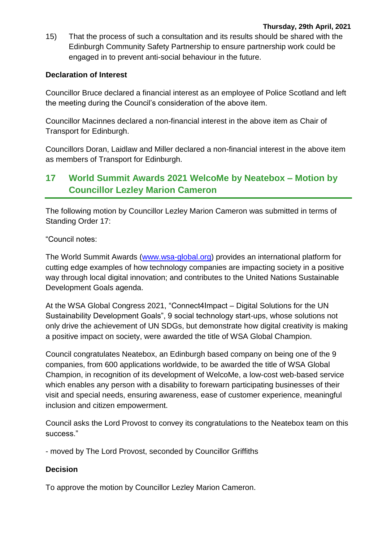15) That the process of such a consultation and its results should be shared with the Edinburgh Community Safety Partnership to ensure partnership work could be engaged in to prevent anti-social behaviour in the future.

### **Declaration of Interest**

Councillor Bruce declared a financial interest as an employee of Police Scotland and left the meeting during the Council's consideration of the above item.

Councillor Macinnes declared a non-financial interest in the above item as Chair of Transport for Edinburgh.

Councillors Doran, Laidlaw and Miller declared a non-financial interest in the above item as members of Transport for Edinburgh.

# **17 World Summit Awards 2021 WelcoMe by Neatebox – Motion by Councillor Lezley Marion Cameron**

The following motion by Councillor Lezley Marion Cameron was submitted in terms of Standing Order 17:

### "Council notes:

The World Summit Awards [\(www.wsa-global.org\)](http://www.wsa-global.org/) provides an international platform for cutting edge examples of how technology companies are impacting society in a positive way through local digital innovation; and contributes to the United Nations Sustainable Development Goals agenda.

At the WSA Global Congress 2021, "Connect4Impact – Digital Solutions for the UN Sustainability Development Goals", 9 social technology start-ups, whose solutions not only drive the achievement of UN SDGs, but demonstrate how digital creativity is making a positive impact on society, were awarded the title of WSA Global Champion.

Council congratulates Neatebox, an Edinburgh based company on being one of the 9 companies, from 600 applications worldwide, to be awarded the title of WSA Global Champion, in recognition of its development of WelcoMe, a low-cost web-based service which enables any person with a disability to forewarn participating businesses of their visit and special needs, ensuring awareness, ease of customer experience, meaningful inclusion and citizen empowerment.

Council asks the Lord Provost to convey its congratulations to the Neatebox team on this success."

- moved by The Lord Provost, seconded by Councillor Griffiths

## **Decision**

To approve the motion by Councillor Lezley Marion Cameron.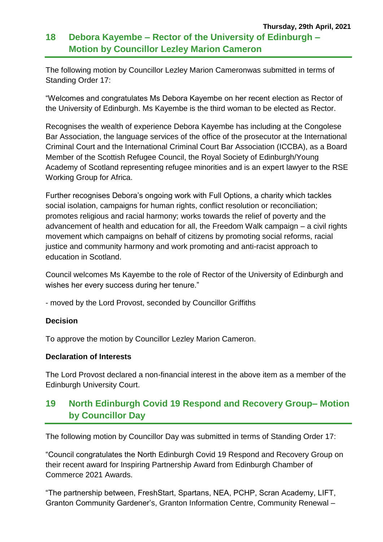# **18 Debora Kayembe – Rector of the University of Edinburgh – Motion by Councillor Lezley Marion Cameron**

The following motion by Councillor Lezley Marion Cameronwas submitted in terms of Standing Order 17:

"Welcomes and congratulates Ms Debora Kayembe on her recent election as Rector of the University of Edinburgh. Ms Kayembe is the third woman to be elected as Rector.

Recognises the wealth of experience Debora Kayembe has including at the Congolese Bar Association, the language services of the office of the prosecutor at the International Criminal Court and the International Criminal Court Bar Association (ICCBA), as a Board Member of the Scottish Refugee Council, the Royal Society of Edinburgh/Young Academy of Scotland representing refugee minorities and is an expert lawyer to the RSE Working Group for Africa.

Further recognises Debora's ongoing work with Full Options, a charity which tackles social isolation, campaigns for human rights, conflict resolution or reconciliation; promotes religious and racial harmony; works towards the relief of poverty and the advancement of health and education for all, the Freedom Walk campaign – a civil rights movement which campaigns on behalf of citizens by promoting social reforms, racial justice and community harmony and work promoting and anti-racist approach to education in Scotland.

Council welcomes Ms Kayembe to the role of Rector of the University of Edinburgh and wishes her every success during her tenure."

- moved by the Lord Provost, seconded by Councillor Griffiths

### **Decision**

To approve the motion by Councillor Lezley Marion Cameron.

### **Declaration of Interests**

The Lord Provost declared a non-financial interest in the above item as a member of the Edinburgh University Court.

# **19 North Edinburgh Covid 19 Respond and Recovery Group– Motion by Councillor Day**

The following motion by Councillor Day was submitted in terms of Standing Order 17:

"Council congratulates the North Edinburgh Covid 19 Respond and Recovery Group on their recent award for Inspiring Partnership Award from Edinburgh Chamber of Commerce 2021 Awards.

"The partnership between, FreshStart, Spartans, NEA, PCHP, Scran Academy, LIFT, Granton Community Gardener's, Granton Information Centre, Community Renewal –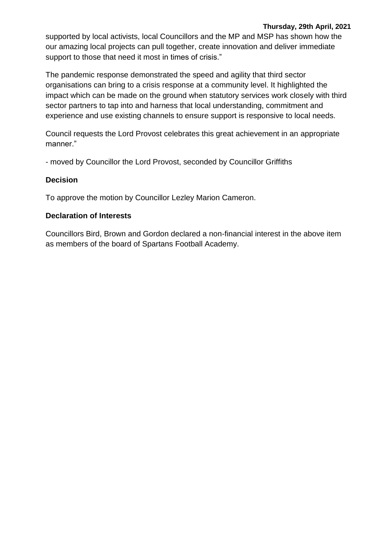supported by local activists, local Councillors and the MP and MSP has shown how the our amazing local projects can pull together, create innovation and deliver immediate support to those that need it most in times of crisis."

The pandemic response demonstrated the speed and agility that third sector organisations can bring to a crisis response at a community level. It highlighted the impact which can be made on the ground when statutory services work closely with third sector partners to tap into and harness that local understanding, commitment and experience and use existing channels to ensure support is responsive to local needs.

Council requests the Lord Provost celebrates this great achievement in an appropriate manner."

- moved by Councillor the Lord Provost, seconded by Councillor Griffiths

### **Decision**

To approve the motion by Councillor Lezley Marion Cameron.

### **Declaration of Interests**

Councillors Bird, Brown and Gordon declared a non-financial interest in the above item as members of the board of Spartans Football Academy.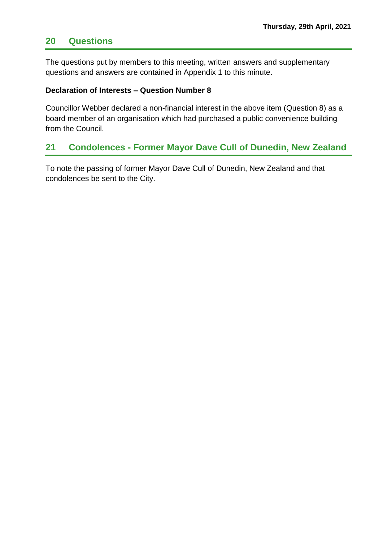## **20 Questions**

The questions put by members to this meeting, written answers and supplementary questions and answers are contained in Appendix 1 to this minute.

#### **Declaration of Interests – Question Number 8**

Councillor Webber declared a non-financial interest in the above item (Question 8) as a board member of an organisation which had purchased a public convenience building from the Council.

# **21 Condolences - Former Mayor Dave Cull of Dunedin, New Zealand**

To note the passing of former Mayor Dave Cull of Dunedin, New Zealand and that condolences be sent to the City.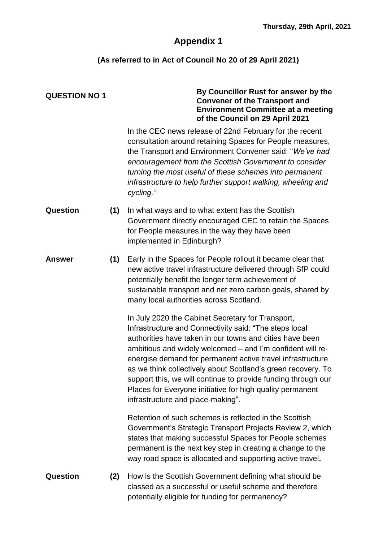# **Appendix 1**

## **(As referred to in Act of Council No 20 of 29 April 2021)**

| <b>QUESTION NO 1</b> |     | By Councillor Rust for answer by the<br><b>Convener of the Transport and</b><br><b>Environment Committee at a meeting</b><br>of the Council on 29 April 2021                                                                                                                                                                                                                                                                                                                                                                           |
|----------------------|-----|----------------------------------------------------------------------------------------------------------------------------------------------------------------------------------------------------------------------------------------------------------------------------------------------------------------------------------------------------------------------------------------------------------------------------------------------------------------------------------------------------------------------------------------|
|                      |     | In the CEC news release of 22nd February for the recent<br>consultation around retaining Spaces for People measures,<br>the Transport and Environment Convener said: "We've had<br>encouragement from the Scottish Government to consider<br>turning the most useful of these schemes into permanent<br>infrastructure to help further support walking, wheeling and<br>cycling."                                                                                                                                                      |
| Question             | (1) | In what ways and to what extent has the Scottish<br>Government directly encouraged CEC to retain the Spaces<br>for People measures in the way they have been<br>implemented in Edinburgh?                                                                                                                                                                                                                                                                                                                                              |
| <b>Answer</b>        | (1) | Early in the Spaces for People rollout it became clear that<br>new active travel infrastructure delivered through SfP could<br>potentially benefit the longer term achievement of<br>sustainable transport and net zero carbon goals, shared by<br>many local authorities across Scotland.                                                                                                                                                                                                                                             |
|                      |     | In July 2020 the Cabinet Secretary for Transport,<br>Infrastructure and Connectivity said: "The steps local<br>authorities have taken in our towns and cities have been<br>ambitious and widely welcomed – and I'm confident will re-<br>energise demand for permanent active travel infrastructure<br>as we think collectively about Scotland's green recovery. To<br>support this, we will continue to provide funding through our<br>Places for Everyone initiative for high quality permanent<br>infrastructure and place-making". |
|                      |     | Retention of such schemes is reflected in the Scottish<br>Government's Strategic Transport Projects Review 2, which<br>states that making successful Spaces for People schemes<br>permanent is the next key step in creating a change to the<br>way road space is allocated and supporting active travel.                                                                                                                                                                                                                              |
| Question             | (2) | How is the Scottish Government defining what should be<br>classed as a successful or useful scheme and therefore<br>potentially eligible for funding for permanency?                                                                                                                                                                                                                                                                                                                                                                   |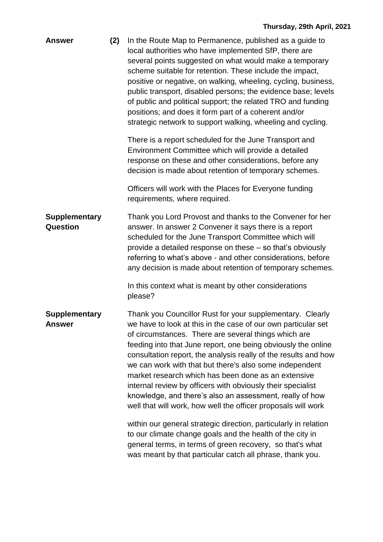| In the Route Map to Permanence, published as a guide to<br>local authorities who have implemented SfP, there are<br>several points suggested on what would make a temporary<br>scheme suitable for retention. These include the impact,<br>positive or negative, on walking, wheeling, cycling, business,<br>public transport, disabled persons; the evidence base; levels<br>of public and political support; the related TRO and funding<br>positions; and does it form part of a coherent and/or<br>strategic network to support walking, wheeling and cycling.                                                                                                                                                                                                                                                                                                                              |
|-------------------------------------------------------------------------------------------------------------------------------------------------------------------------------------------------------------------------------------------------------------------------------------------------------------------------------------------------------------------------------------------------------------------------------------------------------------------------------------------------------------------------------------------------------------------------------------------------------------------------------------------------------------------------------------------------------------------------------------------------------------------------------------------------------------------------------------------------------------------------------------------------|
| There is a report scheduled for the June Transport and<br>Environment Committee which will provide a detailed<br>response on these and other considerations, before any<br>decision is made about retention of temporary schemes.                                                                                                                                                                                                                                                                                                                                                                                                                                                                                                                                                                                                                                                               |
| Officers will work with the Places for Everyone funding<br>requirements, where required.                                                                                                                                                                                                                                                                                                                                                                                                                                                                                                                                                                                                                                                                                                                                                                                                        |
| Thank you Lord Provost and thanks to the Convener for her<br>answer. In answer 2 Convener it says there is a report<br>scheduled for the June Transport Committee which will<br>provide a detailed response on these - so that's obviously<br>referring to what's above - and other considerations, before<br>any decision is made about retention of temporary schemes.                                                                                                                                                                                                                                                                                                                                                                                                                                                                                                                        |
| In this context what is meant by other considerations<br>please?                                                                                                                                                                                                                                                                                                                                                                                                                                                                                                                                                                                                                                                                                                                                                                                                                                |
| Thank you Councillor Rust for your supplementary. Clearly<br>we have to look at this in the case of our own particular set<br>of circumstances. There are several things which are<br>feeding into that June report, one being obviously the online<br>consultation report, the analysis really of the results and how<br>we can work with that but there's also some independent<br>market research which has been done as an extensive<br>internal review by officers with obviously their specialist<br>knowledge, and there's also an assessment, really of how<br>well that will work, how well the officer proposals will work<br>within our general strategic direction, particularly in relation<br>to our climate change goals and the health of the city in<br>general terms, in terms of green recovery, so that's what<br>was meant by that particular catch all phrase, thank you. |
| (2)                                                                                                                                                                                                                                                                                                                                                                                                                                                                                                                                                                                                                                                                                                                                                                                                                                                                                             |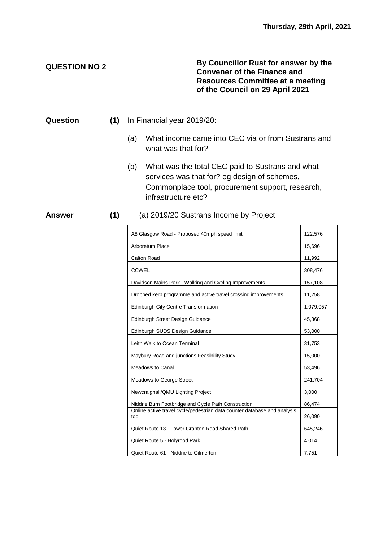**QUESTION NO 2 By Councillor Rust for answer by the Convener of the Finance and Resources Committee at a meeting of the Council on 29 April 2021**

- **Question (1)** In Financial year 2019/20:
	- (a) What income came into CEC via or from Sustrans and what was that for?
	- (b) What was the total CEC paid to Sustrans and what services was that for? eg design of schemes, Commonplace tool, procurement support, research, infrastructure etc?

### **Answer (1)** (a) 2019/20 Sustrans Income by Project

| A8 Glasgow Road - Proposed 40mph speed limit                                     | 122,576   |
|----------------------------------------------------------------------------------|-----------|
| Arboretum Place                                                                  | 15,696    |
| <b>Calton Road</b>                                                               | 11,992    |
| <b>CCWEL</b>                                                                     | 308,476   |
| Davidson Mains Park - Walking and Cycling Improvements                           | 157,108   |
| Dropped kerb programme and active travel crossing improvements                   | 11,258    |
| Edinburgh City Centre Transformation                                             | 1,079,057 |
| Edinburgh Street Design Guidance                                                 | 45,368    |
| Edinburgh SUDS Design Guidance                                                   | 53,000    |
| Leith Walk to Ocean Terminal                                                     | 31,753    |
| Maybury Road and junctions Feasibility Study                                     | 15,000    |
| <b>Meadows to Canal</b>                                                          | 53,496    |
| Meadows to George Street                                                         | 241,704   |
| Newcraighall/QMU Lighting Project                                                | 3,000     |
| Niddrie Burn Footbridge and Cycle Path Construction                              | 86,474    |
| Online active travel cycle/pedestrian data counter database and analysis<br>tool | 26,090    |
| Quiet Route 13 - Lower Granton Road Shared Path                                  | 645,246   |
| Quiet Route 5 - Holyrood Park                                                    | 4,014     |
| Quiet Route 61 - Niddrie to Gilmerton                                            | 7,751     |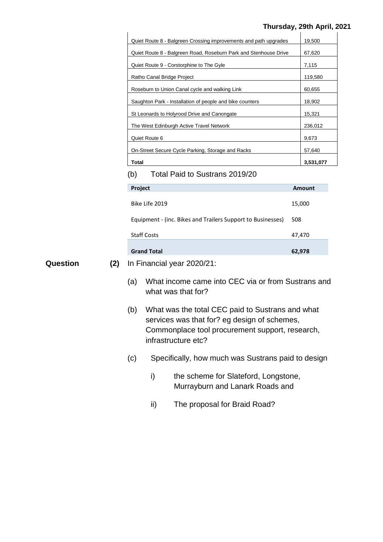### **Thursday, 29th April, 2021**

| Quiet Route 8 - Balgreen Crossing improvements and path upgrades | 19,500    |
|------------------------------------------------------------------|-----------|
| Quiet Route 8 - Balgreen Road, Roseburn Park and Stenhouse Drive | 67,620    |
| Quiet Route 9 - Corstorphine to The Gyle                         | 7,115     |
| Ratho Canal Bridge Project                                       | 119,580   |
| Roseburn to Union Canal cycle and walking Link                   | 60,655    |
| Saughton Park - Installation of people and bike counters         | 18,902    |
| St Leonards to Holyrood Drive and Canongate                      | 15,321    |
| The West Edinburgh Active Travel Network                         | 236,012   |
| Quiet Route 6                                                    | 9,673     |
| On-Street Secure Cycle Parking, Storage and Racks                | 57,640    |
| Total                                                            | 3,531,077 |

### (b) Total Paid to Sustrans 2019/20

| <b>Project</b>                                              | <b>Amount</b> |
|-------------------------------------------------------------|---------------|
| Bike Life 2019                                              | 15,000        |
| Equipment - (inc. Bikes and Trailers Support to Businesses) | 508           |
| <b>Staff Costs</b>                                          | 47,470        |
| <b>Grand Total</b>                                          | 62,978        |

- **Question (2)** In Financial year 2020/21:
	- (a) What income came into CEC via or from Sustrans and what was that for?
	- (b) What was the total CEC paid to Sustrans and what services was that for? eg design of schemes, Commonplace tool procurement support, research, infrastructure etc?
	- (c) Specifically, how much was Sustrans paid to design
		- i) the scheme for Slateford, Longstone, Murrayburn and Lanark Roads and
		- ii) The proposal for Braid Road?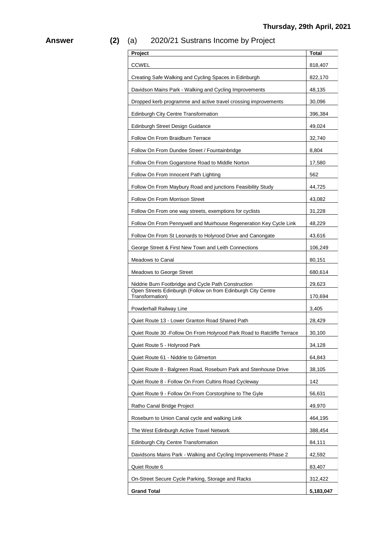# **Answer (2)** (a) 2020/21 Sustrans Income by Project

| Project                                                                         | <b>Total</b> |
|---------------------------------------------------------------------------------|--------------|
| <b>CCWEL</b>                                                                    | 818,407      |
| Creating Safe Walking and Cycling Spaces in Edinburgh                           | 822,170      |
| Davidson Mains Park - Walking and Cycling Improvements                          | 48,135       |
| Dropped kerb programme and active travel crossing improvements                  | 30,096       |
| <b>Edinburgh City Centre Transformation</b>                                     | 396,384      |
| Edinburgh Street Design Guidance                                                | 49,024       |
| Follow On From Braidburn Terrace                                                | 32,740       |
| Follow On From Dundee Street / Fountainbridge                                   | 8,804        |
| Follow On From Gogarstone Road to Middle Norton                                 | 17,580       |
| Follow On From Innocent Path Lighting                                           | 562          |
| Follow On From Maybury Road and junctions Feasibility Study                     | 44,725       |
| Follow On From Morrison Street                                                  | 43,082       |
| Follow On From one way streets, exemptions for cyclists                         | 31,228       |
| Follow On From Pennywell and Muirhouse Regeneration Key Cycle Link              | 48,229       |
| Follow On From St Leonards to Holyrood Drive and Canongate                      | 43,616       |
| George Street & First New Town and Leith Connections                            | 106,249      |
| Meadows to Canal                                                                | 80,151       |
| Meadows to George Street                                                        | 680,614      |
| Niddrie Burn Footbridge and Cycle Path Construction                             | 29,623       |
| Open Streets Edinburgh (Follow on from Edinburgh City Centre<br>Transformation) | 170,694      |
| Powderhall Railway Line                                                         | 3,405        |
| Quiet Route 13 - Lower Granton Road Shared Path                                 | 28,429       |
| Quiet Route 30 - Follow On From Holyrood Park Road to Ratcliffe Terrace         | 30,100       |
| Quiet Route 5 - Holyrood Park                                                   | 34,128       |
| Quiet Route 61 - Niddrie to Gilmerton                                           | 64,843       |
| Quiet Route 8 - Balgreen Road, Roseburn Park and Stenhouse Drive                | 38,105       |
| Quiet Route 8 - Follow On From Cultins Road Cycleway                            | 142          |
| Quiet Route 9 - Follow On From Corstorphine to The Gyle                         | 56,631       |
| Ratho Canal Bridge Project                                                      | 49,970       |
| Roseburn to Union Canal cycle and walking Link                                  | 464,195      |
| The West Edinburgh Active Travel Network                                        | 388,454      |
| Edinburgh City Centre Transformation                                            | 84,111       |
| Davidsons Mains Park - Walking and Cycling Improvements Phase 2                 | 42,592       |
| Quiet Route 6                                                                   | 83,407       |
| On-Street Secure Cycle Parking, Storage and Racks                               | 312,422      |
| <b>Grand Total</b>                                                              | 5,183,047    |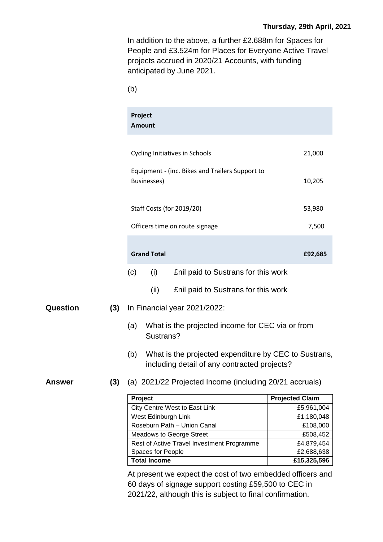In addition to the above, a further £2.688m for Spaces for People and £3.524m for Places for Everyone Active Travel projects accrued in 2020/21 Accounts, with funding anticipated by June 2021.

(b)

|          |                                                                | Project<br><b>Amount</b>                                                                                     |             |  |
|----------|----------------------------------------------------------------|--------------------------------------------------------------------------------------------------------------|-------------|--|
|          |                                                                | Cycling Initiatives in Schools                                                                               | 21,000      |  |
|          |                                                                | Equipment - (inc. Bikes and Trailers Support to<br>Businesses)                                               | 10,205      |  |
|          |                                                                | Staff Costs (for 2019/20)                                                                                    | 53,980      |  |
|          |                                                                | Officers time on route signage                                                                               | 7,500       |  |
|          |                                                                | <b>Grand Total</b>                                                                                           | £92,685     |  |
|          |                                                                | (c)<br>(i)<br>Enil paid to Sustrans for this work                                                            |             |  |
|          |                                                                | (ii)<br>Enil paid to Sustrans for this work                                                                  |             |  |
| Question | (3)                                                            | In Financial year 2021/2022:                                                                                 |             |  |
|          |                                                                | What is the projected income for CEC via or from<br>(a)<br>Sustrans?                                         |             |  |
|          |                                                                | What is the projected expenditure by CEC to Sustrans,<br>(b)<br>including detail of any contracted projects? |             |  |
| Answer   | (a) 2021/22 Projected Income (including 20/21 accruals)<br>(3) |                                                                                                              |             |  |
|          |                                                                | <b>Projected Claim</b><br>Project                                                                            |             |  |
|          |                                                                | City Centre West to East Link                                                                                | £5,961,004  |  |
|          |                                                                | West Edinburgh Link                                                                                          | £1,180,048  |  |
|          |                                                                | Roseburn Path - Union Canal                                                                                  | £108,000    |  |
|          |                                                                | Meadows to George Street                                                                                     | £508,452    |  |
|          |                                                                | Rest of Active Travel Investment Programme                                                                   |             |  |
|          |                                                                | Spaces for People                                                                                            |             |  |
|          |                                                                | <b>Total Income</b>                                                                                          | £15,325,596 |  |

At present we expect the cost of two embedded officers and 60 days of signage support costing £59,500 to CEC in 2021/22, although this is subject to final confirmation.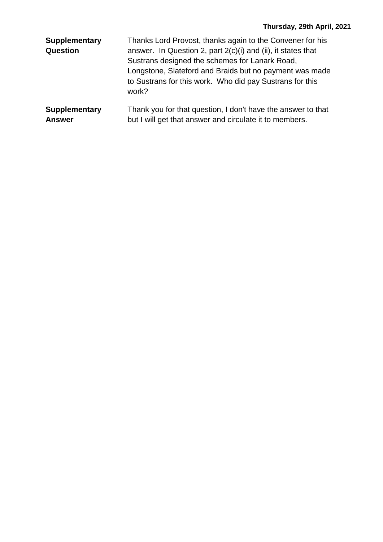| <b>Supplementary</b><br>Question | Thanks Lord Provost, thanks again to the Convener for his<br>answer. In Question 2, part $2(c)(i)$ and (ii), it states that<br>Sustrans designed the schemes for Lanark Road,<br>Longstone, Slateford and Braids but no payment was made<br>to Sustrans for this work. Who did pay Sustrans for this<br>work? |
|----------------------------------|---------------------------------------------------------------------------------------------------------------------------------------------------------------------------------------------------------------------------------------------------------------------------------------------------------------|
| <b>Supplementary</b>             | Thank you for that question, I don't have the answer to that                                                                                                                                                                                                                                                  |
| <b>Answer</b>                    | but I will get that answer and circulate it to members.                                                                                                                                                                                                                                                       |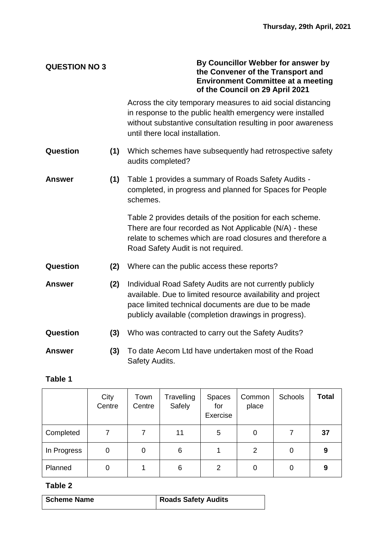**QUESTION NO 3 By Councillor Webber for answer by the Convener of the Transport and Environment Committee at a meeting of the Council on 29 April 2021**

> Across the city temporary measures to aid social distancing in response to the public health emergency were installed without substantive consultation resulting in poor awareness until there local installation.

- **Question (1)** Which schemes have subsequently had retrospective safety audits completed?
- **Answer (1)** Table 1 provides a summary of Roads Safety Audits completed, in progress and planned for Spaces for People schemes.

Table 2 provides details of the position for each scheme. There are four recorded as Not Applicable (N/A) - these relate to schemes which are road closures and therefore a Road Safety Audit is not required.

- **Question (2)** Where can the public access these reports?
- **Answer (2)** Individual Road Safety Audits are not currently publicly available. Due to limited resource availability and project pace limited technical documents are due to be made publicly available (completion drawings in progress).
- **Question (3)** Who was contracted to carry out the Safety Audits?
- **Answer (3)** To date Aecom Ltd have undertaken most of the Road Safety Audits.

### **Table 1**

|             | City<br>Centre | Town<br>Centre | Travelling<br>Safely | <b>Spaces</b><br>for<br>Exercise | Common<br>place | Schools | <b>Total</b> |
|-------------|----------------|----------------|----------------------|----------------------------------|-----------------|---------|--------------|
| Completed   |                |                | 11                   | 5                                | 0               |         | 37           |
| In Progress | 0              |                | 6                    |                                  | 2               | 0       | 9            |
| Planned     | 0              |                | 6                    | 2                                | 0               | 0       | 9            |

### **Table 2**

| <b>Scheme Name</b> | <b>Roads Safety Audits</b> |
|--------------------|----------------------------|
|                    |                            |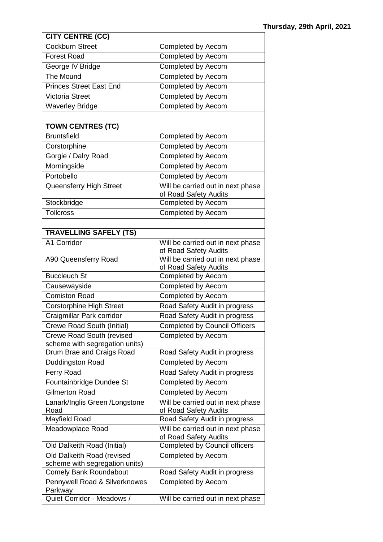| <b>CITY CENTRE (CC)</b>                  |                                                            |
|------------------------------------------|------------------------------------------------------------|
| <b>Cockburn Street</b>                   | Completed by Aecom                                         |
| Forest Road                              | Completed by Aecom                                         |
| George IV Bridge                         | Completed by Aecom                                         |
| The Mound                                | Completed by Aecom                                         |
| <b>Princes Street East End</b>           | Completed by Aecom                                         |
| <b>Victoria Street</b>                   | Completed by Aecom                                         |
| <b>Waverley Bridge</b>                   | Completed by Aecom                                         |
|                                          |                                                            |
| <b>TOWN CENTRES (TC)</b>                 |                                                            |
| <b>Bruntsfield</b>                       | Completed by Aecom                                         |
| Corstorphine                             | Completed by Aecom                                         |
| Gorgie / Dalry Road                      | Completed by Aecom                                         |
| Morningside                              | Completed by Aecom                                         |
| Portobello                               | Completed by Aecom                                         |
| Queensferry High Street                  | Will be carried out in next phase                          |
|                                          | of Road Safety Audits                                      |
| Stockbridge                              | <b>Completed by Aecom</b>                                  |
| <b>Tollcross</b>                         | Completed by Aecom                                         |
|                                          |                                                            |
| <b>TRAVELLING SAFELY (TS)</b>            |                                                            |
| A1 Corridor                              | Will be carried out in next phase                          |
| A90 Queensferry Road                     | of Road Safety Audits<br>Will be carried out in next phase |
|                                          | of Road Safety Audits                                      |
| <b>Buccleuch St</b>                      | Completed by Aecom                                         |
| Causewayside                             | Completed by Aecom                                         |
| <b>Comiston Road</b>                     | Completed by Aecom                                         |
| <b>Corstorphine High Street</b>          | Road Safety Audit in progress                              |
| Craigmillar Park corridor                | Road Safety Audit in progress                              |
| Crewe Road South (Initial)               | <b>Completed by Council Officers</b>                       |
| <b>Crewe Road South (revised</b>         | Completed by Aecom                                         |
| scheme with segregation units)           |                                                            |
| Drum Brae and Craigs Road                | Road Safety Audit in progress                              |
| <b>Duddingston Road</b>                  | <b>Completed by Aecom</b>                                  |
| Ferry Road                               | Road Safety Audit in progress                              |
| Fountainbridge Dundee St                 | <b>Completed by Aecom</b>                                  |
| <b>Gilmerton Road</b>                    | Completed by Aecom                                         |
| Lanark/Inglis Green /Longstone           | Will be carried out in next phase                          |
| Road<br>Mayfield Road                    | of Road Safety Audits<br>Road Safety Audit in progress     |
| Meadowplace Road                         | Will be carried out in next phase                          |
|                                          | of Road Safety Audits                                      |
| Old Dalkeith Road (Initial)              | <b>Completed by Council officers</b>                       |
| Old Dalkeith Road (revised               | Completed by Aecom                                         |
| scheme with segregation units)           |                                                            |
| <b>Comely Bank Roundabout</b>            | Road Safety Audit in progress                              |
| Pennywell Road & Silverknowes<br>Parkway | Completed by Aecom                                         |
| Quiet Corridor - Meadows /               | Will be carried out in next phase                          |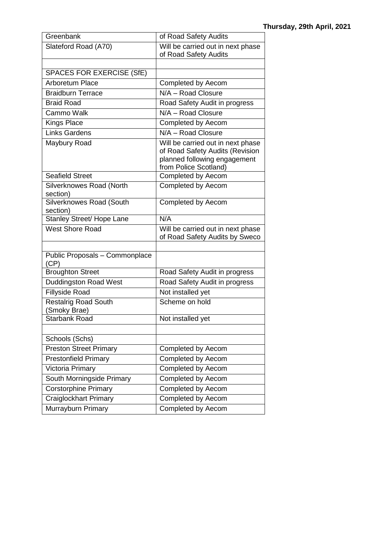| Greenbank                              | of Road Safety Audits                                                                                                         |
|----------------------------------------|-------------------------------------------------------------------------------------------------------------------------------|
| Slateford Road (A70)                   | Will be carried out in next phase<br>of Road Safety Audits                                                                    |
|                                        |                                                                                                                               |
| <b>SPACES FOR EXERCISE (SfE)</b>       |                                                                                                                               |
| <b>Arboretum Place</b>                 | Completed by Aecom                                                                                                            |
| Braidburn Terrace                      | N/A - Road Closure                                                                                                            |
| <b>Braid Road</b>                      | Road Safety Audit in progress                                                                                                 |
| Cammo Walk                             | N/A - Road Closure                                                                                                            |
| <b>Kings Place</b>                     | Completed by Aecom                                                                                                            |
| <b>Links Gardens</b>                   | N/A - Road Closure                                                                                                            |
| Maybury Road                           | Will be carried out in next phase<br>of Road Safety Audits (Revision<br>planned following engagement<br>from Police Scotland) |
| <b>Seafield Street</b>                 | Completed by Aecom                                                                                                            |
| Silverknowes Road (North<br>section)   | Completed by Aecom                                                                                                            |
| Silverknowes Road (South<br>section)   | Completed by Aecom                                                                                                            |
| Stanley Street/ Hope Lane              | N/A                                                                                                                           |
| <b>West Shore Road</b>                 | Will be carried out in next phase<br>of Road Safety Audits by Sweco                                                           |
|                                        |                                                                                                                               |
| Public Proposals - Commonplace<br>(CP) |                                                                                                                               |
| <b>Broughton Street</b>                | Road Safety Audit in progress                                                                                                 |
| <b>Duddingston Road West</b>           | Road Safety Audit in progress                                                                                                 |
| <b>Fillyside Road</b>                  | Not installed yet                                                                                                             |
| Restalrig Road South<br>(Smoky Brae)   | Scheme on hold                                                                                                                |
| <b>Starbank Road</b>                   | Not installed yet                                                                                                             |
|                                        |                                                                                                                               |
| Schools (Schs)                         |                                                                                                                               |
| <b>Preston Street Primary</b>          | Completed by Aecom                                                                                                            |
| <b>Prestonfield Primary</b>            | Completed by Aecom                                                                                                            |
| Victoria Primary                       | Completed by Aecom                                                                                                            |
| South Morningside Primary              | Completed by Aecom                                                                                                            |
| <b>Corstorphine Primary</b>            | Completed by Aecom                                                                                                            |
| Craiglockhart Primary                  | Completed by Aecom                                                                                                            |
| Murrayburn Primary                     | Completed by Aecom                                                                                                            |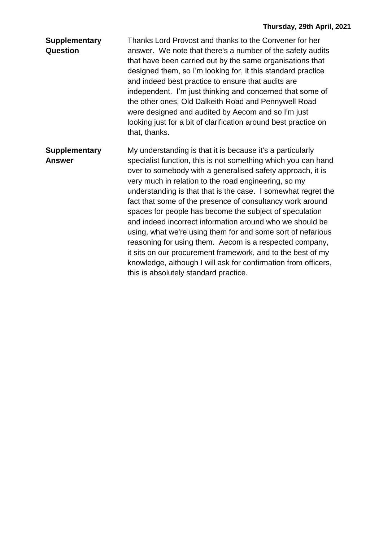| <b>Supplementary</b><br>Question      | Thanks Lord Provost and thanks to the Convener for her<br>answer. We note that there's a number of the safety audits<br>that have been carried out by the same organisations that<br>designed them, so I'm looking for, it this standard practice<br>and indeed best practice to ensure that audits are<br>independent. I'm just thinking and concerned that some of<br>the other ones, Old Dalkeith Road and Pennywell Road<br>were designed and audited by Aecom and so I'm just<br>looking just for a bit of clarification around best practice on<br>that, thanks.                                                                                                                                                                                                                                     |
|---------------------------------------|------------------------------------------------------------------------------------------------------------------------------------------------------------------------------------------------------------------------------------------------------------------------------------------------------------------------------------------------------------------------------------------------------------------------------------------------------------------------------------------------------------------------------------------------------------------------------------------------------------------------------------------------------------------------------------------------------------------------------------------------------------------------------------------------------------|
| <b>Supplementary</b><br><b>Answer</b> | My understanding is that it is because it's a particularly<br>specialist function, this is not something which you can hand<br>over to somebody with a generalised safety approach, it is<br>very much in relation to the road engineering, so my<br>understanding is that that is the case. I somewhat regret the<br>fact that some of the presence of consultancy work around<br>spaces for people has become the subject of speculation<br>and indeed incorrect information around who we should be<br>using, what we're using them for and some sort of nefarious<br>reasoning for using them. Aecom is a respected company,<br>it sits on our procurement framework, and to the best of my<br>knowledge, although I will ask for confirmation from officers,<br>this is absolutely standard practice. |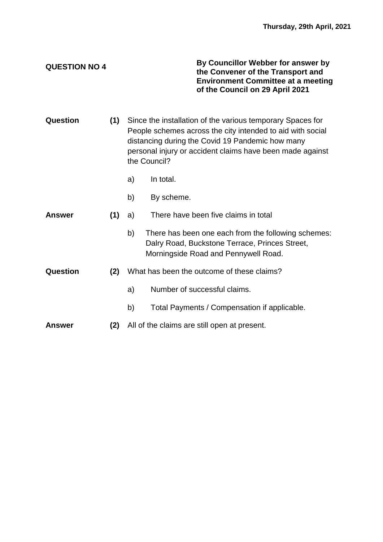### **QUESTION NO 4 By Councillor Webber for answer by the Convener of the Transport and Environment Committee at a meeting of the Council on 29 April 2021**

- **Question (1)** Since the installation of the various temporary Spaces for People schemes across the city intended to aid with social distancing during the Covid 19 Pandemic how many personal injury or accident claims have been made against the Council?
	- a) In total.
	- b) By scheme.
- **Answer (1)** a) There have been five claims in total
	- b) There has been one each from the following schemes: Dalry Road, Buckstone Terrace, Princes Street, Morningside Road and Pennywell Road.
- **Question (2)** What has been the outcome of these claims?
	- a) Number of successful claims.
	- b) Total Payments / Compensation if applicable.
- **Answer (2)** All of the claims are still open at present.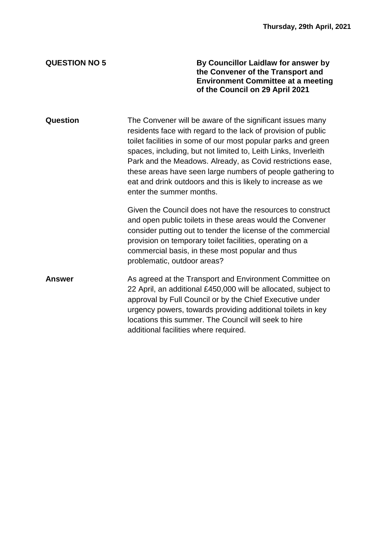### **QUESTION NO 5 By Councillor Laidlaw for answer by the Convener of the Transport and Environment Committee at a meeting of the Council on 29 April 2021**

**Question** The Convener will be aware of the significant issues many residents face with regard to the lack of provision of public toilet facilities in some of our most popular parks and green spaces, including, but not limited to, Leith Links, Inverleith Park and the Meadows. Already, as Covid restrictions ease, these areas have seen large numbers of people gathering to eat and drink outdoors and this is likely to increase as we enter the summer months.

> Given the Council does not have the resources to construct and open public toilets in these areas would the Convener consider putting out to tender the license of the commercial provision on temporary toilet facilities, operating on a commercial basis, in these most popular and thus problematic, outdoor areas?

**Answer** As agreed at the Transport and Environment Committee on 22 April, an additional £450,000 will be allocated, subject to approval by Full Council or by the Chief Executive under urgency powers, towards providing additional toilets in key locations this summer. The Council will seek to hire additional facilities where required.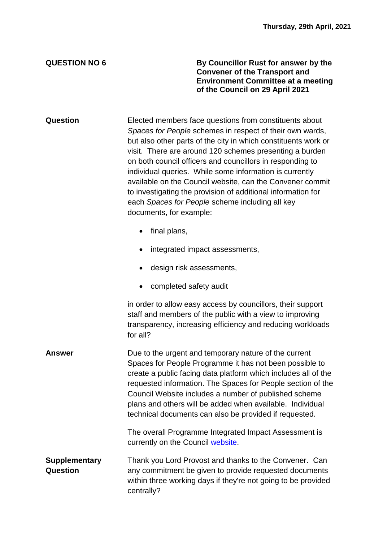### **QUESTION NO 6 By Councillor Rust for answer by the Convener of the Transport and Environment Committee at a meeting of the Council on 29 April 2021**

- **Question** Elected members face questions from constituents about *Spaces for People* schemes in respect of their own wards, but also other parts of the city in which constituents work or visit. There are around 120 schemes presenting a burden on both council officers and councillors in responding to individual queries. While some information is currently available on the Council website, can the Convener commit to investigating the provision of additional information for each *Spaces for People* scheme including all key documents, for example:
	- final plans,
	- integrated impact assessments,
	- design risk assessments,
	- completed safety audit

in order to allow easy access by councillors, their support staff and members of the public with a view to improving transparency, increasing efficiency and reducing workloads for all?

| <b>Answer</b>                    | Due to the urgent and temporary nature of the current<br>Spaces for People Programme it has not been possible to<br>create a public facing data platform which includes all of the<br>requested information. The Spaces for People section of the<br>Council Website includes a number of published scheme<br>plans and others will be added when available. Individual<br>technical documents can also be provided if requested. |  |  |
|----------------------------------|-----------------------------------------------------------------------------------------------------------------------------------------------------------------------------------------------------------------------------------------------------------------------------------------------------------------------------------------------------------------------------------------------------------------------------------|--|--|
|                                  | The overall Programme Integrated Impact Assessment is<br>currently on the Council website.                                                                                                                                                                                                                                                                                                                                        |  |  |
| <b>Supplementary</b><br>Question | Thank you Lord Provost and thanks to the Convener. Can<br>any commitment be given to provide requested documents<br>within three working days if they're not going to be provided<br>centrally?                                                                                                                                                                                                                                   |  |  |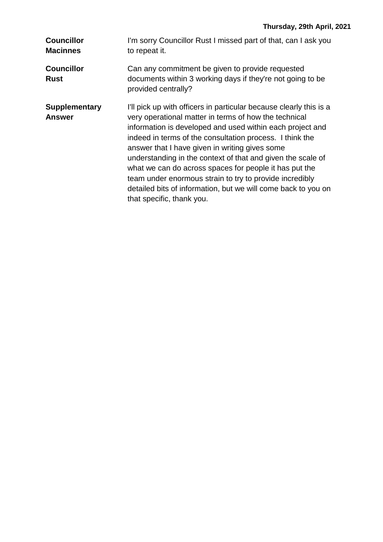| <b>Councillor</b><br><b>Macinnes</b>  | I'm sorry Councillor Rust I missed part of that, can I ask you<br>to repeat it.                                                                                                                                                                                                                                                                                                                                                                                                                                                                                                          |  |
|---------------------------------------|------------------------------------------------------------------------------------------------------------------------------------------------------------------------------------------------------------------------------------------------------------------------------------------------------------------------------------------------------------------------------------------------------------------------------------------------------------------------------------------------------------------------------------------------------------------------------------------|--|
| <b>Councillor</b><br>Rust             | Can any commitment be given to provide requested<br>documents within 3 working days if they're not going to be<br>provided centrally?                                                                                                                                                                                                                                                                                                                                                                                                                                                    |  |
| <b>Supplementary</b><br><b>Answer</b> | I'll pick up with officers in particular because clearly this is a<br>very operational matter in terms of how the technical<br>information is developed and used within each project and<br>indeed in terms of the consultation process. I think the<br>answer that I have given in writing gives some<br>understanding in the context of that and given the scale of<br>what we can do across spaces for people it has put the<br>team under enormous strain to try to provide incredibly<br>detailed bits of information, but we will come back to you on<br>that specific, thank you. |  |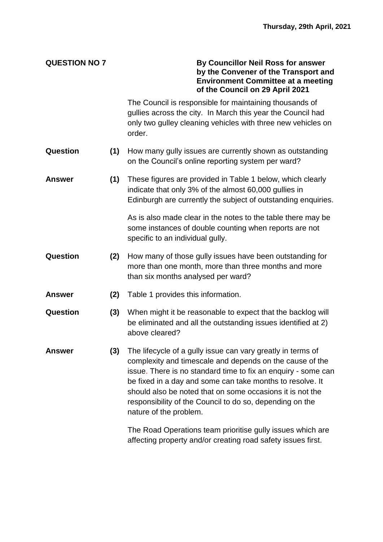### **QUESTION NO 7 By Councillor Neil Ross for answer by the Convener of the Transport and Environment Committee at a meeting of the Council on 29 April 2021**

The Council is responsible for maintaining thousands of gullies across the city. In March this year the Council had only two gulley cleaning vehicles with three new vehicles on order.

- **Question (1)** How many gully issues are currently shown as outstanding on the Council's online reporting system per ward?
- **Answer (1)** These figures are provided in Table 1 below, which clearly indicate that only 3% of the almost 60,000 gullies in Edinburgh are currently the subject of outstanding enquiries.

As is also made clear in the notes to the table there may be some instances of double counting when reports are not specific to an individual gully.

- **Question (2)** How many of those gully issues have been outstanding for more than one month, more than three months and more than six months analysed per ward?
- **Answer (2)** Table 1 provides this information.
- **Question (3)** When might it be reasonable to expect that the backlog will be eliminated and all the outstanding issues identified at 2) above cleared?
- **Answer (3)** The lifecycle of a gully issue can vary greatly in terms of complexity and timescale and depends on the cause of the issue. There is no standard time to fix an enquiry - some can be fixed in a day and some can take months to resolve. It should also be noted that on some occasions it is not the responsibility of the Council to do so, depending on the nature of the problem.

The Road Operations team prioritise gully issues which are affecting property and/or creating road safety issues first.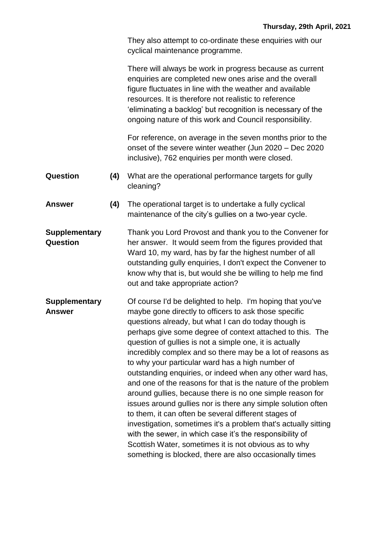They also attempt to co-ordinate these enquiries with our cyclical maintenance programme.

There will always be work in progress because as current enquiries are completed new ones arise and the overall figure fluctuates in line with the weather and available resources. It is therefore not realistic to reference 'eliminating a backlog' but recognition is necessary of the ongoing nature of this work and Council responsibility.

For reference, on average in the seven months prior to the onset of the severe winter weather (Jun 2020 – Dec 2020 inclusive), 762 enquiries per month were closed.

- **Question (4)** What are the operational performance targets for gully cleaning?
- **Answer (4)** The operational target is to undertake a fully cyclical maintenance of the city's gullies on a two-year cycle.
- **Supplementary Question** Thank you Lord Provost and thank you to the Convener for her answer. It would seem from the figures provided that Ward 10, my ward, has by far the highest number of all outstanding gully enquiries, I don't expect the Convener to know why that is, but would she be willing to help me find out and take appropriate action?
- **Supplementary Answer** Of course I'd be delighted to help. I'm hoping that you've maybe gone directly to officers to ask those specific questions already, but what I can do today though is perhaps give some degree of context attached to this. The question of gullies is not a simple one, it is actually incredibly complex and so there may be a lot of reasons as to why your particular ward has a high number of outstanding enquiries, or indeed when any other ward has, and one of the reasons for that is the nature of the problem around gullies, because there is no one simple reason for issues around gullies nor is there any simple solution often to them, it can often be several different stages of investigation, sometimes it's a problem that's actually sitting with the sewer, in which case it's the responsibility of Scottish Water, sometimes it is not obvious as to why something is blocked, there are also occasionally times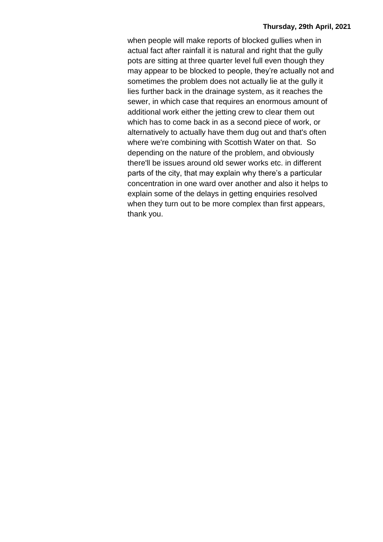### **Thursday, 29th April, 2021**

when people will make reports of blocked gullies when in actual fact after rainfall it is natural and right that the gully pots are sitting at three quarter level full even though they may appear to be blocked to people, they're actually not and sometimes the problem does not actually lie at the gully it lies further back in the drainage system, as it reaches the sewer, in which case that requires an enormous amount of additional work either the jetting crew to clear them out which has to come back in as a second piece of work, or alternatively to actually have them dug out and that's often where we're combining with Scottish Water on that. So depending on the nature of the problem, and obviously there'll be issues around old sewer works etc. in different parts of the city, that may explain why there's a particular concentration in one ward over another and also it helps to explain some of the delays in getting enquiries resolved when they turn out to be more complex than first appears, thank you.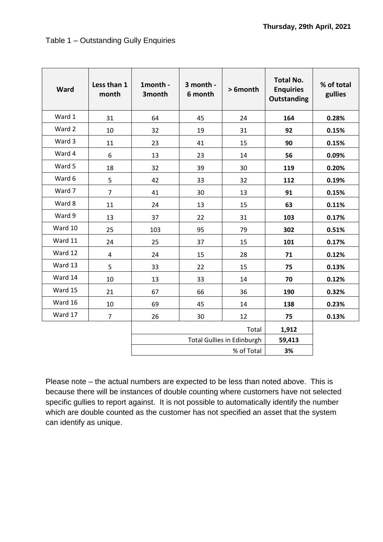| Ward    | Less than 1<br>month | 1month -<br>3month | 3 month -<br>6 month | > 6month                          | <b>Total No.</b><br><b>Enquiries</b><br>Outstanding | % of total<br>gullies |
|---------|----------------------|--------------------|----------------------|-----------------------------------|-----------------------------------------------------|-----------------------|
| Ward 1  | 31                   | 64                 | 45                   | 24                                | 164                                                 | 0.28%                 |
| Ward 2  | 10                   | 32                 | 19                   | 31                                | 92                                                  | 0.15%                 |
| Ward 3  | 11                   | 23                 | 41                   | 15                                | 90                                                  | 0.15%                 |
| Ward 4  | 6                    | 13                 | 23                   | 14                                | 56                                                  | 0.09%                 |
| Ward 5  | 18                   | 32                 | 39                   | 30                                | 119                                                 | 0.20%                 |
| Ward 6  | 5                    | 42                 | 33                   | 32                                | 112                                                 | 0.19%                 |
| Ward 7  | $\overline{7}$       | 41                 | 30                   | 13                                | 91                                                  | 0.15%                 |
| Ward 8  | 11                   | 24                 | 13                   | 15                                | 63                                                  | 0.11%                 |
| Ward 9  | 13                   | 37                 | 22                   | 31                                | 103                                                 | 0.17%                 |
| Ward 10 | 25                   | 103                | 95                   | 79                                | 302                                                 | 0.51%                 |
| Ward 11 | 24                   | 25                 | 37                   | 15                                | 101                                                 | 0.17%                 |
| Ward 12 | 4                    | 24                 | 15                   | 28                                | 71                                                  | 0.12%                 |
| Ward 13 | 5                    | 33                 | 22                   | 15                                | 75                                                  | 0.13%                 |
| Ward 14 | 10                   | 13                 | 33                   | 14                                | 70                                                  | 0.12%                 |
| Ward 15 | 21                   | 67                 | 66                   | 36                                | 190                                                 | 0.32%                 |
| Ward 16 | 10                   | 69                 | 45                   | 14                                | 138                                                 | 0.23%                 |
| Ward 17 | $\overline{7}$       | 26                 | 30                   | 12                                | 75                                                  | 0.13%                 |
|         |                      |                    |                      | Total                             | 1,912                                               |                       |
|         |                      |                    |                      | <b>Total Gullies in Edinburgh</b> | 59,413                                              |                       |
|         |                      |                    |                      | % of Total                        | 3%                                                  |                       |

Table 1 – Outstanding Gully Enquiries

Please note – the actual numbers are expected to be less than noted above. This is because there will be instances of double counting where customers have not selected specific gullies to report against. It is not possible to automatically identify the number which are double counted as the customer has not specified an asset that the system can identify as unique.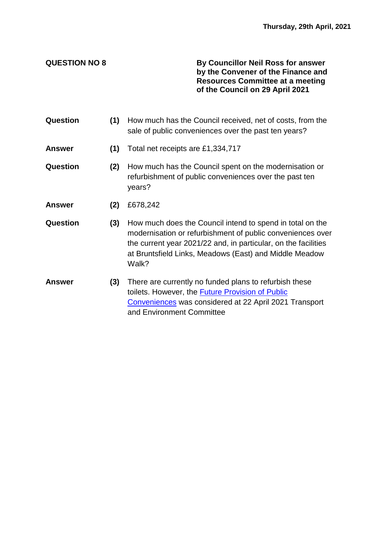**QUESTION NO 8 By Councillor Neil Ross for answer by the Convener of the Finance and Resources Committee at a meeting of the Council on 29 April 2021**

- **Question (1)** How much has the Council received, net of costs, from the sale of public conveniences over the past ten years?
- **Answer (1)** Total net receipts are £1,334,717
- **Question (2)** How much has the Council spent on the modernisation or refurbishment of public conveniences over the past ten years?
- **Answer (2)** £678,242
- **Question (3)** How much does the Council intend to spend in total on the modernisation or refurbishment of public conveniences over the current year 2021/22 and, in particular, on the facilities at Bruntsfield Links, Meadows (East) and Middle Meadow Walk?
- **Answer (3)** There are currently no funded plans to refurbish these toilets. However, the [Future Provision of Public](https://democracy.edinburgh.gov.uk/documents/s33415/7.8%20-%20Public%20Convenience%20Strategy%20v11.pdf)  [Conveniences](https://democracy.edinburgh.gov.uk/documents/s33415/7.8%20-%20Public%20Convenience%20Strategy%20v11.pdf) was considered at 22 April 2021 Transport and Environment Committee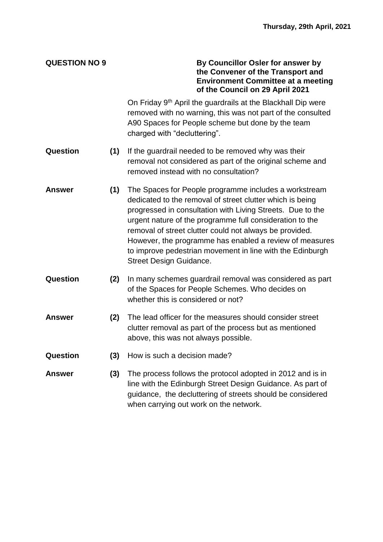**QUESTION NO 9 By Councillor Osler for answer by the Convener of the Transport and Environment Committee at a meeting of the Council on 29 April 2021**

> On Friday 9th April the guardrails at the Blackhall Dip were removed with no warning, this was not part of the consulted A90 Spaces for People scheme but done by the team charged with "decluttering".

- **Question (1)** If the guardrail needed to be removed why was their removal not considered as part of the original scheme and removed instead with no consultation?
- **Answer (1)** The Spaces for People programme includes a workstream dedicated to the removal of street clutter which is being progressed in consultation with Living Streets. Due to the urgent nature of the programme full consideration to the removal of street clutter could not always be provided. However, the programme has enabled a review of measures to improve pedestrian movement in line with the Edinburgh Street Design Guidance.
- **Question (2)** In many schemes guardrail removal was considered as part of the Spaces for People Schemes. Who decides on whether this is considered or not?
- **Answer (2)** The lead officer for the measures should consider street clutter removal as part of the process but as mentioned above, this was not always possible.
- **Question (3)** How is such a decision made?
- **Answer (3)** The process follows the protocol adopted in 2012 and is in line with the Edinburgh Street Design Guidance. As part of guidance, the decluttering of streets should be considered when carrying out work on the network.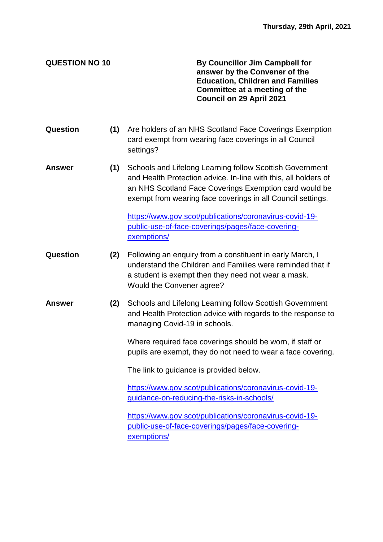**QUESTION NO 10 By Councillor Jim Campbell for answer by the Convener of the Education, Children and Families Committee at a meeting of the Council on 29 April 2021**

- **Question (1)** Are holders of an NHS Scotland Face Coverings Exemption card exempt from wearing face coverings in all Council settings?
- **Answer (1)** Schools and Lifelong Learning follow Scottish Government and Health Protection advice. In-line with this, all holders of an NHS Scotland Face Coverings Exemption card would be exempt from wearing face coverings in all Council settings.

[https://www.gov.scot/publications/coronavirus-covid-19](https://www.gov.scot/publications/coronavirus-covid-19-public-use-of-face-coverings/pages/face-covering-exemptions/) [public-use-of-face-coverings/pages/face-covering](https://www.gov.scot/publications/coronavirus-covid-19-public-use-of-face-coverings/pages/face-covering-exemptions/)[exemptions/](https://www.gov.scot/publications/coronavirus-covid-19-public-use-of-face-coverings/pages/face-covering-exemptions/)

- **Question (2)** Following an enquiry from a constituent in early March, I understand the Children and Families were reminded that if a student is exempt then they need not wear a mask. Would the Convener agree?
- **Answer (2)** Schools and Lifelong Learning follow Scottish Government and Health Protection advice with regards to the response to managing Covid-19 in schools.

Where required face coverings should be worn, if staff or pupils are exempt, they do not need to wear a face covering.

The link to guidance is provided below.

[https://www.gov.scot/publications/coronavirus-covid-19](https://www.gov.scot/publications/coronavirus-covid-19-guidance-on-reducing-the-risks-in-schools/) [guidance-on-reducing-the-risks-in-schools/](https://www.gov.scot/publications/coronavirus-covid-19-guidance-on-reducing-the-risks-in-schools/)

[https://www.gov.scot/publications/coronavirus-covid-19](https://www.gov.scot/publications/coronavirus-covid-19-public-use-of-face-coverings/pages/face-covering-exemptions/) [public-use-of-face-coverings/pages/face-covering](https://www.gov.scot/publications/coronavirus-covid-19-public-use-of-face-coverings/pages/face-covering-exemptions/)[exemptions/](https://www.gov.scot/publications/coronavirus-covid-19-public-use-of-face-coverings/pages/face-covering-exemptions/)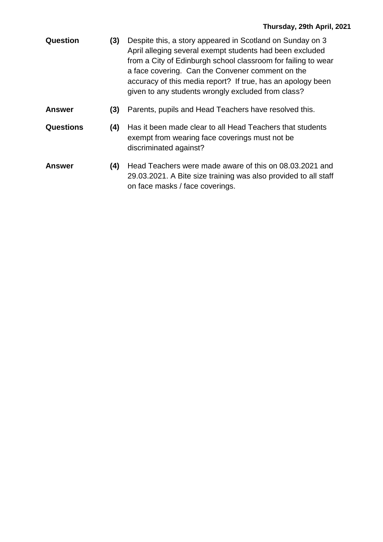| Question      | (3) | Despite this, a story appeared in Scotland on Sunday on 3<br>April alleging several exempt students had been excluded<br>from a City of Edinburgh school classroom for failing to wear<br>a face covering. Can the Convener comment on the<br>accuracy of this media report? If true, has an apology been<br>given to any students wrongly excluded from class? |
|---------------|-----|-----------------------------------------------------------------------------------------------------------------------------------------------------------------------------------------------------------------------------------------------------------------------------------------------------------------------------------------------------------------|
| <b>Answer</b> | (3) | Parents, pupils and Head Teachers have resolved this.                                                                                                                                                                                                                                                                                                           |

- **Questions (4)** Has it been made clear to all Head Teachers that students exempt from wearing face coverings must not be discriminated against?
- **Answer (4)** Head Teachers were made aware of this on 08.03.2021 and 29.03.2021. A Bite size training was also provided to all staff on face masks / face coverings.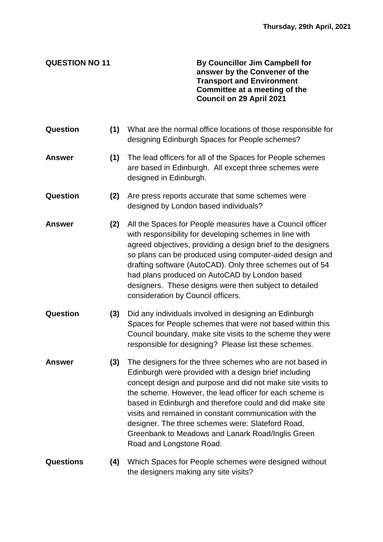**QUESTION NO 11 By Councillor Jim Campbell for answer by the Convener of the Transport and Environment Committee at a meeting of the Council on 29 April 2021**

- **Question (1)** What are the normal office locations of those responsible for designing Edinburgh Spaces for People schemes?
- **Answer (1)** The lead officers for all of the Spaces for People schemes are based in Edinburgh. All except three schemes were designed in Edinburgh.
- **Question (2)** Are press reports accurate that some schemes were designed by London based individuals?
- **Answer (2)** All the Spaces for People measures have a Council officer with responsibility for developing schemes in line with agreed objectives, providing a design brief to the designers so plans can be produced using computer-aided design and drafting software (AutoCAD). Only three schemes out of 54 had plans produced on AutoCAD by London based designers. These designs were then subject to detailed consideration by Council officers.
- **Question (3)** Did any individuals involved in designing an Edinburgh Spaces for People schemes that were not based within this Council boundary, make site visits to the scheme they were responsible for designing? Please list these schemes.
- **Answer (3)** The designers for the three schemes who are not based in Edinburgh were provided with a design brief including concept design and purpose and did not make site visits to the scheme. However, the lead officer for each scheme is based in Edinburgh and therefore could and did make site visits and remained in constant communication with the designer. The three schemes were: Slateford Road, Greenbank to Meadows and Lanark Road/Inglis Green Road and Longstone Road.
- **Questions (4)** Which Spaces for People schemes were designed without the designers making any site visits?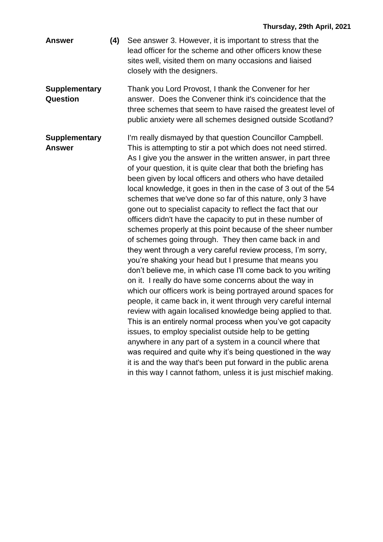- **Answer (4)** See answer 3. However, it is important to stress that the lead officer for the scheme and other officers know these sites well, visited them on many occasions and liaised closely with the designers.
- **Supplementary Question** Thank you Lord Provost, I thank the Convener for her answer. Does the Convener think it's coincidence that the three schemes that seem to have raised the greatest level of public anxiety were all schemes designed outside Scotland?

**Supplementary Answer** I'm really dismayed by that question Councillor Campbell. This is attempting to stir a pot which does not need stirred. As I give you the answer in the written answer, in part three of your question, it is quite clear that both the briefing has been given by local officers and others who have detailed local knowledge, it goes in then in the case of 3 out of the 54 schemes that we've done so far of this nature, only 3 have gone out to specialist capacity to reflect the fact that our officers didn't have the capacity to put in these number of schemes properly at this point because of the sheer number of schemes going through. They then came back in and they went through a very careful review process, I'm sorry, you're shaking your head but I presume that means you don't believe me, in which case I'll come back to you writing on it. I really do have some concerns about the way in which our officers work is being portrayed around spaces for people, it came back in, it went through very careful internal review with again localised knowledge being applied to that. This is an entirely normal process when you've got capacity issues, to employ specialist outside help to be getting anywhere in any part of a system in a council where that was required and quite why it's being questioned in the way it is and the way that's been put forward in the public arena in this way I cannot fathom, unless it is just mischief making.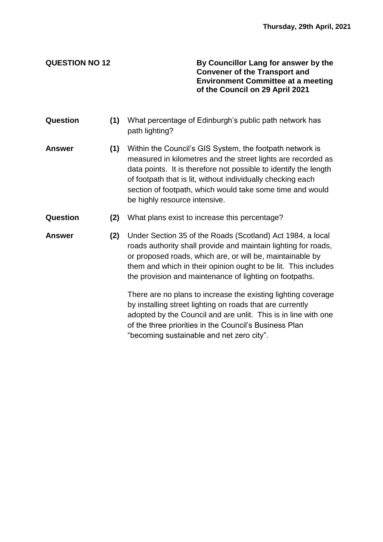**QUESTION NO 12 By Councillor Lang for answer by the Convener of the Transport and Environment Committee at a meeting of the Council on 29 April 2021**

- **Question (1)** What percentage of Edinburgh's public path network has path lighting?
- **Answer (1)** Within the Council's GIS System, the footpath network is measured in kilometres and the street lights are recorded as data points. It is therefore not possible to identify the length of footpath that is lit, without individually checking each section of footpath, which would take some time and would be highly resource intensive.
- **Question (2)** What plans exist to increase this percentage?
- **Answer (2)** Under Section 35 of the Roads (Scotland) Act 1984, a local roads authority shall provide and maintain lighting for roads, or proposed roads, which are, or will be, maintainable by them and which in their opinion ought to be lit. This includes the provision and maintenance of lighting on footpaths.

There are no plans to increase the existing lighting coverage by installing street lighting on roads that are currently adopted by the Council and are unlit. This is in line with one of the three priorities in the Council's Business Plan "becoming sustainable and net zero city".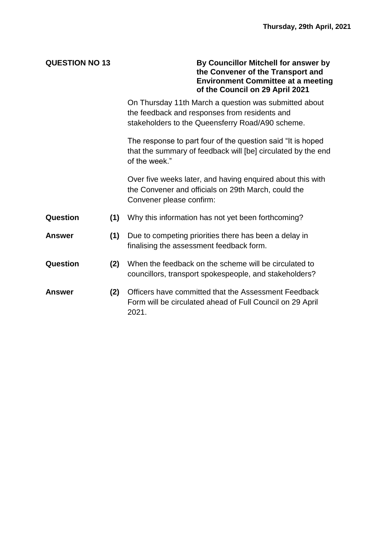### **QUESTION NO 13 By Councillor Mitchell for answer by the Convener of the Transport and Environment Committee at a meeting of the Council on 29 April 2021**

On Thursday 11th March a question was submitted about the feedback and responses from residents and stakeholders to the Queensferry Road/A90 scheme.

The response to part four of the question said "It is hoped that the summary of feedback will [be] circulated by the end of the week."

Over five weeks later, and having enquired about this with the Convener and officials on 29th March, could the Convener please confirm:

- **Question (1)** Why this information has not yet been forthcoming?
- **Answer (1)** Due to competing priorities there has been a delay in finalising the assessment feedback form.
- **Question (2)** When the feedback on the scheme will be circulated to councillors, transport spokespeople, and stakeholders?
- **Answer (2)** Officers have committed that the Assessment Feedback Form will be circulated ahead of Full Council on 29 April 2021.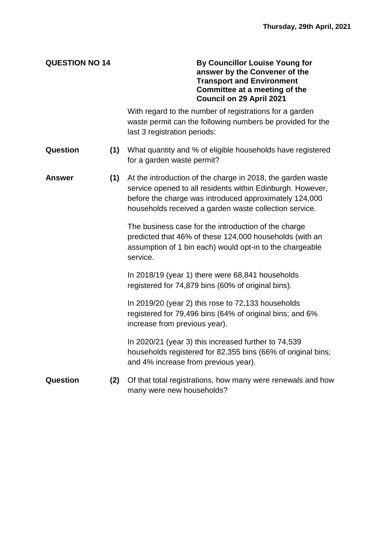### **QUESTION NO 14 By Councillor Louise Young for answer by the Convener of the Transport and Environment Committee at a meeting of the Council on 29 April 2021**

With regard to the number of registrations for a garden waste permit can the following numbers be provided for the last 3 registration periods:

### **Question (1)** What quantity and % of eligible households have registered for a garden waste permit?

**Answer (1)** At the introduction of the charge in 2018, the garden waste service opened to all residents within Edinburgh. However, before the charge was introduced approximately 124,000 households received a garden waste collection service.

> The business case for the introduction of the charge predicted that 46% of these 124,000 households (with an assumption of 1 bin each) would opt-in to the chargeable service.

In 2018/19 (year 1) there were 68,841 households registered for 74,879 bins (60% of original bins).

In 2019/20 (year 2) this rose to 72,133 households registered for 79,496 bins (64% of original bins; and 6% increase from previous year).

In 2020/21 (year 3) this increased further to 74,539 households registered for 82,355 bins (66% of original bins; and 4% increase from previous year).

**Question (2)** Of that total registrations, how many were renewals and how many were new households?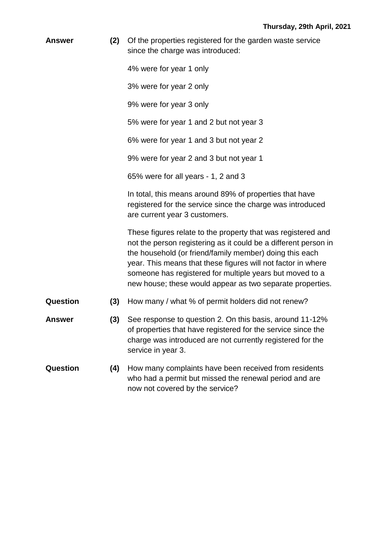| <b>Answer</b> | (2) | Of the properties registered for the garden waste service<br>since the charge was introduced:                                                                                                                                                                                                                                                                                       |
|---------------|-----|-------------------------------------------------------------------------------------------------------------------------------------------------------------------------------------------------------------------------------------------------------------------------------------------------------------------------------------------------------------------------------------|
|               |     | 4% were for year 1 only                                                                                                                                                                                                                                                                                                                                                             |
|               |     | 3% were for year 2 only                                                                                                                                                                                                                                                                                                                                                             |
|               |     | 9% were for year 3 only                                                                                                                                                                                                                                                                                                                                                             |
|               |     | 5% were for year 1 and 2 but not year 3                                                                                                                                                                                                                                                                                                                                             |
|               |     | 6% were for year 1 and 3 but not year 2                                                                                                                                                                                                                                                                                                                                             |
|               |     | 9% were for year 2 and 3 but not year 1                                                                                                                                                                                                                                                                                                                                             |
|               |     | 65% were for all years - 1, 2 and 3                                                                                                                                                                                                                                                                                                                                                 |
|               |     | In total, this means around 89% of properties that have<br>registered for the service since the charge was introduced<br>are current year 3 customers.                                                                                                                                                                                                                              |
|               |     | These figures relate to the property that was registered and<br>not the person registering as it could be a different person in<br>the household (or friend/family member) doing this each<br>year. This means that these figures will not factor in where<br>someone has registered for multiple years but moved to a<br>new house; these would appear as two separate properties. |
| Question      | (3) | How many / what % of permit holders did not renew?                                                                                                                                                                                                                                                                                                                                  |
| Answer        | (3) | See response to question 2. On this basis, around 11-12%<br>of properties that have registered for the service since the<br>charge was introduced are not currently registered for the<br>service in year 3.                                                                                                                                                                        |
| Question      | (4) | How many complaints have been received from residents<br>who had a permit but missed the renewal period and are<br>now not covered by the service?                                                                                                                                                                                                                                  |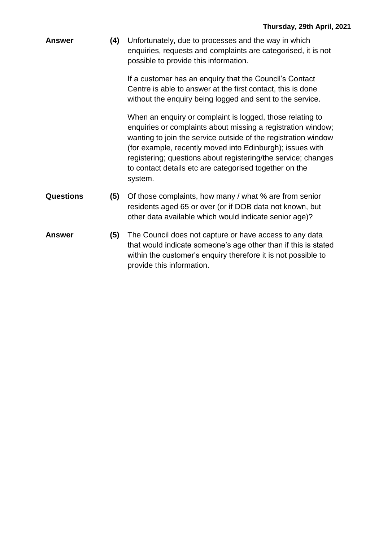**Answer (4)** Unfortunately, due to processes and the way in which enquiries, requests and complaints are categorised, it is not possible to provide this information.

> If a customer has an enquiry that the Council's Contact Centre is able to answer at the first contact, this is done without the enquiry being logged and sent to the service.

When an enquiry or complaint is logged, those relating to enquiries or complaints about missing a registration window; wanting to join the service outside of the registration window (for example, recently moved into Edinburgh); issues with registering; questions about registering/the service; changes to contact details etc are categorised together on the system.

- **Questions (5)** Of those complaints, how many / what % are from senior residents aged 65 or over (or if DOB data not known, but other data available which would indicate senior age)?
- **Answer (5)** The Council does not capture or have access to any data that would indicate someone's age other than if this is stated within the customer's enquiry therefore it is not possible to provide this information.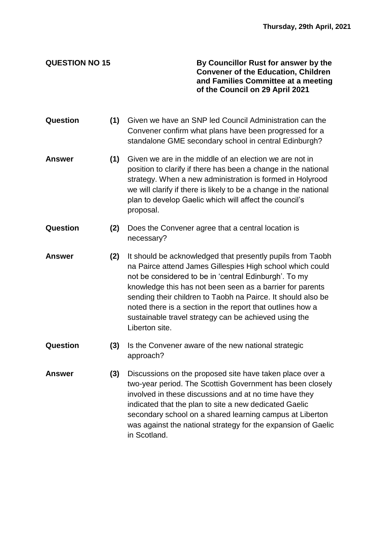**QUESTION NO 15 By Councillor Rust for answer by the Convener of the Education, Children and Families Committee at a meeting of the Council on 29 April 2021**

- **Question (1)** Given we have an SNP led Council Administration can the Convener confirm what plans have been progressed for a standalone GME secondary school in central Edinburgh?
- **Answer (1)** Given we are in the middle of an election we are not in position to clarify if there has been a change in the national strategy. When a new administration is formed in Holyrood we will clarify if there is likely to be a change in the national plan to develop Gaelic which will affect the council's proposal.
- **Question (2)** Does the Convener agree that a central location is necessary?
- **Answer (2)** It should be acknowledged that presently pupils from Taobh na Pairce attend James Gillespies High school which could not be considered to be in 'central Edinburgh'. To my knowledge this has not been seen as a barrier for parents sending their children to Taobh na Pairce. It should also be noted there is a section in the report that outlines how a sustainable travel strategy can be achieved using the Liberton site.
- **Question (3)** Is the Convener aware of the new national strategic approach?
- **Answer (3)** Discussions on the proposed site have taken place over a two-year period. The Scottish Government has been closely involved in these discussions and at no time have they indicated that the plan to site a new dedicated Gaelic secondary school on a shared learning campus at Liberton was against the national strategy for the expansion of Gaelic in Scotland.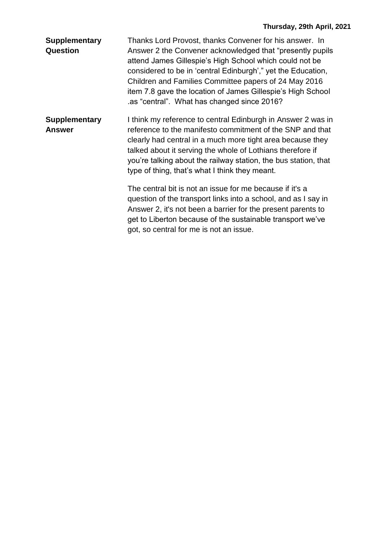| <b>Supplementary</b><br>Question      | Thanks Lord Provost, thanks Convener for his answer. In<br>Answer 2 the Convener acknowledged that "presently pupils"<br>attend James Gillespie's High School which could not be<br>considered to be in 'central Edinburgh'," yet the Education,<br>Children and Families Committee papers of 24 May 2016<br>item 7.8 gave the location of James Gillespie's High School<br>as "central". What has changed since 2016? |
|---------------------------------------|------------------------------------------------------------------------------------------------------------------------------------------------------------------------------------------------------------------------------------------------------------------------------------------------------------------------------------------------------------------------------------------------------------------------|
| <b>Supplementary</b><br><b>Answer</b> | I think my reference to central Edinburgh in Answer 2 was in<br>reference to the manifesto commitment of the SNP and that<br>clearly had central in a much more tight area because they<br>talked about it serving the whole of Lothians therefore if<br>you're talking about the railway station, the bus station, that<br>type of thing, that's what I think they meant.                                             |
|                                       | The central bit is not an issue for me because if it's a<br>question of the transport links into a school, and as I say in<br>Answer 2, it's not been a barrier for the present parents to<br>get to Liberton because of the sustainable transport we've<br>got, so central for me is not an issue.                                                                                                                    |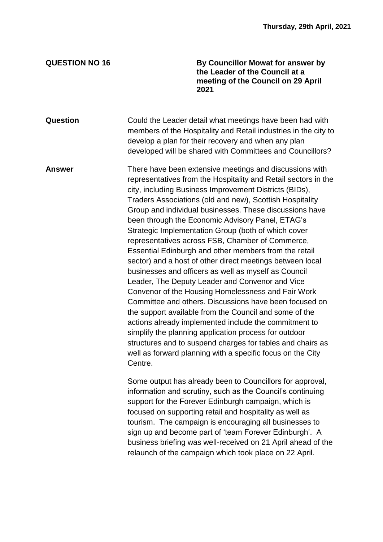### **QUESTION NO 16 By Councillor Mowat for answer by the Leader of the Council at a meeting of the Council on 29 April 2021**

**Question** Could the Leader detail what meetings have been had with members of the Hospitality and Retail industries in the city to develop a plan for their recovery and when any plan developed will be shared with Committees and Councillors?

**Answer** There have been extensive meetings and discussions with representatives from the Hospitality and Retail sectors in the city, including Business Improvement Districts (BIDs), Traders Associations (old and new), Scottish Hospitality Group and individual businesses. These discussions have been through the Economic Advisory Panel, ETAG's Strategic Implementation Group (both of which cover representatives across FSB, Chamber of Commerce, Essential Edinburgh and other members from the retail sector) and a host of other direct meetings between local businesses and officers as well as myself as Council Leader, The Deputy Leader and Convenor and Vice Convenor of the Housing Homelessness and Fair Work Committee and others. Discussions have been focused on the support available from the Council and some of the actions already implemented include the commitment to simplify the planning application process for outdoor structures and to suspend charges for tables and chairs as well as forward planning with a specific focus on the City Centre.

> Some output has already been to Councillors for approval, information and scrutiny, such as the Council's continuing support for the Forever Edinburgh campaign, which is focused on supporting retail and hospitality as well as tourism. The campaign is encouraging all businesses to sign up and become part of 'team Forever Edinburgh'. A business briefing was well-received on 21 April ahead of the relaunch of the campaign which took place on 22 April.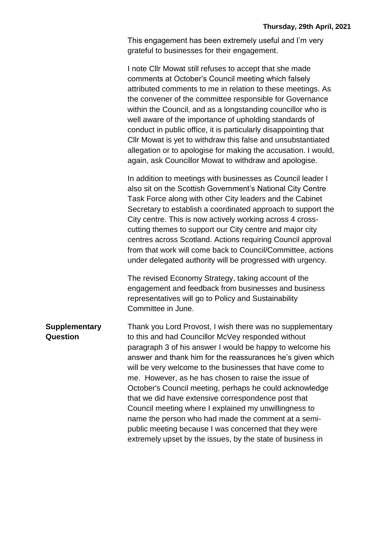This engagement has been extremely useful and I'm very grateful to businesses for their engagement.

I note Cllr Mowat still refuses to accept that she made comments at October's Council meeting which falsely attributed comments to me in relation to these meetings. As the convener of the committee responsible for Governance within the Council, and as a longstanding councillor who is well aware of the importance of upholding standards of conduct in public office, it is particularly disappointing that Cllr Mowat is yet to withdraw this false and unsubstantiated allegation or to apologise for making the accusation. I would, again, ask Councillor Mowat to withdraw and apologise.

In addition to meetings with businesses as Council leader I also sit on the Scottish Government's National City Centre Task Force along with other City leaders and the Cabinet Secretary to establish a coordinated approach to support the City centre. This is now actively working across 4 crosscutting themes to support our City centre and major city centres across Scotland. Actions requiring Council approval from that work will come back to Council/Committee, actions under delegated authority will be progressed with urgency.

The revised Economy Strategy, taking account of the engagement and feedback from businesses and business representatives will go to Policy and Sustainability Committee in June.

**Supplementary Question**

Thank you Lord Provost, I wish there was no supplementary to this and had Councillor McVey responded without paragraph 3 of his answer I would be happy to welcome his answer and thank him for the reassurances he's given which will be very welcome to the businesses that have come to me. However, as he has chosen to raise the issue of October's Council meeting, perhaps he could acknowledge that we did have extensive correspondence post that Council meeting where I explained my unwillingness to name the person who had made the comment at a semipublic meeting because I was concerned that they were extremely upset by the issues, by the state of business in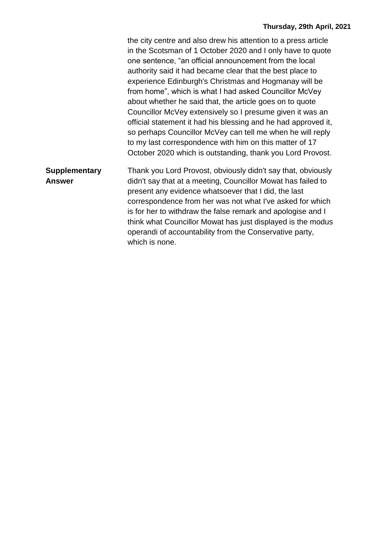## **Thursday, 29th April, 2021**

|                                       | the city centre and also drew his attention to a press article<br>in the Scotsman of 1 October 2020 and I only have to quote<br>one sentence, "an official announcement from the local<br>authority said it had became clear that the best place to<br>experience Edinburgh's Christmas and Hogmanay will be<br>from home", which is what I had asked Councillor McVey<br>about whether he said that, the article goes on to quote<br>Councillor McVey extensively so I presume given it was an<br>official statement it had his blessing and he had approved it,<br>so perhaps Councillor McVey can tell me when he will reply<br>to my last correspondence with him on this matter of 17<br>October 2020 which is outstanding, thank you Lord Provost. |
|---------------------------------------|----------------------------------------------------------------------------------------------------------------------------------------------------------------------------------------------------------------------------------------------------------------------------------------------------------------------------------------------------------------------------------------------------------------------------------------------------------------------------------------------------------------------------------------------------------------------------------------------------------------------------------------------------------------------------------------------------------------------------------------------------------|
| <b>Supplementary</b><br><b>Answer</b> | Thank you Lord Provost, obviously didn't say that, obviously<br>didn't say that at a meeting, Councillor Mowat has failed to<br>present any evidence whatsoever that I did, the last<br>correspondence from her was not what I've asked for which<br>is for her to withdraw the false remark and apologise and I<br>think what Councillor Mowat has just displayed is the modus<br>operandi of accountability from the Conservative party,<br>which is none.                                                                                                                                                                                                                                                                                             |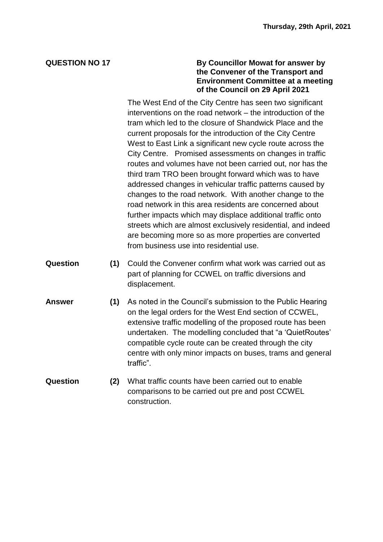### **QUESTION NO 17 By Councillor Mowat for answer by the Convener of the Transport and Environment Committee at a meeting of the Council on 29 April 2021**

The West End of the City Centre has seen two significant interventions on the road network – the introduction of the tram which led to the closure of Shandwick Place and the current proposals for the introduction of the City Centre West to East Link a significant new cycle route across the City Centre. Promised assessments on changes in traffic routes and volumes have not been carried out, nor has the third tram TRO been brought forward which was to have addressed changes in vehicular traffic patterns caused by changes to the road network. With another change to the road network in this area residents are concerned about further impacts which may displace additional traffic onto streets which are almost exclusively residential, and indeed are becoming more so as more properties are converted from business use into residential use.

- **Question (1)** Could the Convener confirm what work was carried out as part of planning for CCWEL on traffic diversions and displacement.
- **Answer (1)** As noted in the Council's submission to the Public Hearing on the legal orders for the West End section of CCWEL, extensive traffic modelling of the proposed route has been undertaken. The modelling concluded that "a 'QuietRoutes' compatible cycle route can be created through the city centre with only minor impacts on buses, trams and general traffic".
- **Question (2)** What traffic counts have been carried out to enable comparisons to be carried out pre and post CCWEL construction.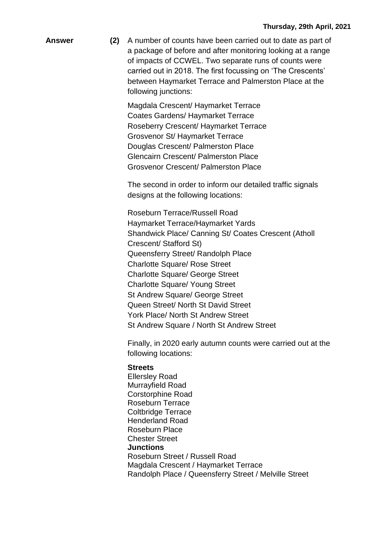**Answer (2)** A number of counts have been carried out to date as part of a package of before and after monitoring looking at a range of impacts of CCWEL. Two separate runs of counts were carried out in 2018. The first focussing on 'The Crescents' between Haymarket Terrace and Palmerston Place at the following junctions:

> Magdala Crescent/ Haymarket Terrace Coates Gardens/ Haymarket Terrace Roseberry Crescent/ Haymarket Terrace Grosvenor St/ Haymarket Terrace Douglas Crescent/ Palmerston Place Glencairn Crescent/ Palmerston Place Grosvenor Crescent/ Palmerston Place

The second in order to inform our detailed traffic signals designs at the following locations:

Roseburn Terrace/Russell Road Haymarket Terrace/Haymarket Yards Shandwick Place/ Canning St/ Coates Crescent (Atholl Crescent/ Stafford St) Queensferry Street/ Randolph Place Charlotte Square/ Rose Street Charlotte Square/ George Street Charlotte Square/ Young Street St Andrew Square/ George Street Queen Street/ North St David Street York Place/ North St Andrew Street St Andrew Square / North St Andrew Street

Finally, in 2020 early autumn counts were carried out at the following locations:

## **Streets**

Ellersley Road Murrayfield Road Corstorphine Road Roseburn Terrace Coltbridge Terrace Henderland Road Roseburn Place Chester Street **Junctions** Roseburn Street / Russell Road Magdala Crescent / Haymarket Terrace Randolph Place / Queensferry Street / Melville Street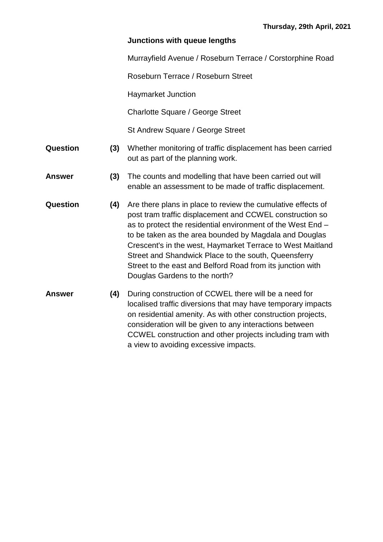## **Junctions with queue lengths**

Murrayfield Avenue / Roseburn Terrace / Corstorphine Road

Roseburn Terrace / Roseburn Street

Haymarket Junction

Charlotte Square / George Street

St Andrew Square / George Street

- **Question (3)** Whether monitoring of traffic displacement has been carried out as part of the planning work.
- **Answer (3)** The counts and modelling that have been carried out will enable an assessment to be made of traffic displacement.
- **Question (4)** Are there plans in place to review the cumulative effects of post tram traffic displacement and CCWEL construction so as to protect the residential environment of the West End – to be taken as the area bounded by Magdala and Douglas Crescent's in the west, Haymarket Terrace to West Maitland Street and Shandwick Place to the south, Queensferry Street to the east and Belford Road from its junction with Douglas Gardens to the north?
- **Answer (4)** During construction of CCWEL there will be a need for localised traffic diversions that may have temporary impacts on residential amenity. As with other construction projects, consideration will be given to any interactions between CCWEL construction and other projects including tram with a view to avoiding excessive impacts.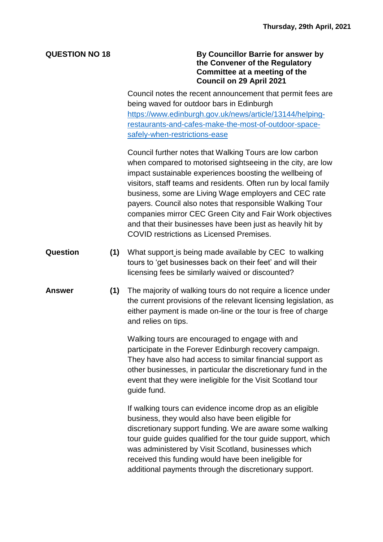## **QUESTION NO 18 By Councillor Barrie for answer by the Convener of the Regulatory Committee at a meeting of the Council on 29 April 2021**

Council notes the recent announcement that permit fees are being waved for outdoor bars in Edinburgh [https://www.edinburgh.gov.uk/news/article/13144/helping](https://www.edinburgh.gov.uk/news/article/13144/helping-restaurants-and-cafes-make-the-most-of-outdoor-space-safely-when-restrictions-ease)[restaurants-and-cafes-make-the-most-of-outdoor-space](https://www.edinburgh.gov.uk/news/article/13144/helping-restaurants-and-cafes-make-the-most-of-outdoor-space-safely-when-restrictions-ease)[safely-when-restrictions-ease](https://www.edinburgh.gov.uk/news/article/13144/helping-restaurants-and-cafes-make-the-most-of-outdoor-space-safely-when-restrictions-ease)

Council further notes that Walking Tours are low carbon when compared to motorised sightseeing in the city, are low impact sustainable experiences boosting the wellbeing of visitors, staff teams and residents. Often run by local family business, some are Living Wage employers and CEC rate payers. Council also notes that responsible Walking Tour companies mirror CEC Green City and Fair Work objectives and that their businesses have been just as heavily hit by COVID restrictions as Licensed Premises.

- **Question (1)** What support is being made available by CEC to walking tours to 'get businesses back on their feet' and will their licensing fees be similarly waived or discounted?
- **Answer (1)** The majority of walking tours do not require a licence under the current provisions of the relevant licensing legislation, as either payment is made on-line or the tour is free of charge and relies on tips.

Walking tours are encouraged to engage with and participate in the Forever Edinburgh recovery campaign. They have also had access to similar financial support as other businesses, in particular the discretionary fund in the event that they were ineligible for the Visit Scotland tour guide fund.

If walking tours can evidence income drop as an eligible business, they would also have been eligible for discretionary support funding. We are aware some walking tour guide guides qualified for the tour guide support, which was administered by Visit Scotland, businesses which received this funding would have been ineligible for additional payments through the discretionary support.